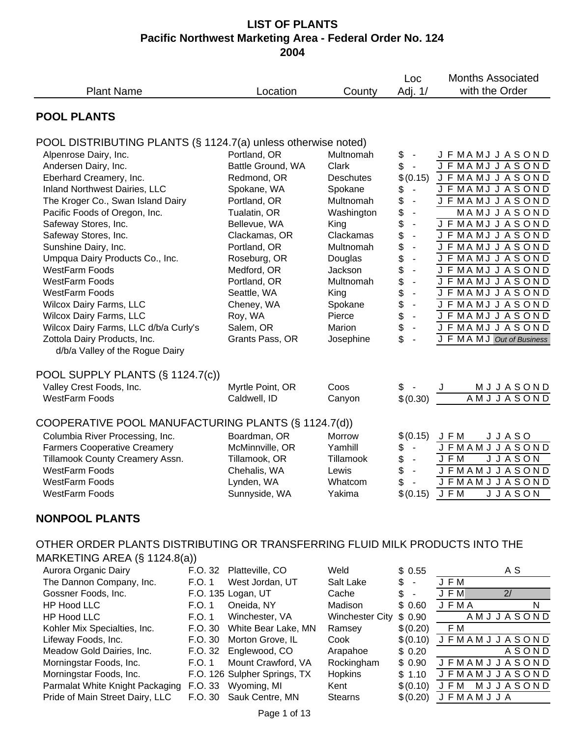|                                                                                                                                                                                                                                                                                                                                                                                                                                                                                                                                                                |                                                                                                        |                                                                                                                                                                                                                                                                         |                                                                                                                                                                                                       | Loc                                                                                                                                                                          | <b>Months Associated</b>                                                                                                                                                                                                                                                                                                                                                                                      |  |  |
|----------------------------------------------------------------------------------------------------------------------------------------------------------------------------------------------------------------------------------------------------------------------------------------------------------------------------------------------------------------------------------------------------------------------------------------------------------------------------------------------------------------------------------------------------------------|--------------------------------------------------------------------------------------------------------|-------------------------------------------------------------------------------------------------------------------------------------------------------------------------------------------------------------------------------------------------------------------------|-------------------------------------------------------------------------------------------------------------------------------------------------------------------------------------------------------|------------------------------------------------------------------------------------------------------------------------------------------------------------------------------|---------------------------------------------------------------------------------------------------------------------------------------------------------------------------------------------------------------------------------------------------------------------------------------------------------------------------------------------------------------------------------------------------------------|--|--|
| <b>Plant Name</b>                                                                                                                                                                                                                                                                                                                                                                                                                                                                                                                                              |                                                                                                        | Location                                                                                                                                                                                                                                                                | County                                                                                                                                                                                                | Adj. 1/                                                                                                                                                                      | with the Order                                                                                                                                                                                                                                                                                                                                                                                                |  |  |
| <b>POOL PLANTS</b>                                                                                                                                                                                                                                                                                                                                                                                                                                                                                                                                             |                                                                                                        |                                                                                                                                                                                                                                                                         |                                                                                                                                                                                                       |                                                                                                                                                                              |                                                                                                                                                                                                                                                                                                                                                                                                               |  |  |
| POOL DISTRIBUTING PLANTS (§ 1124.7(a) unless otherwise noted)<br>Alpenrose Dairy, Inc.<br>Andersen Dairy, Inc.<br>Eberhard Creamery, Inc.<br>Inland Northwest Dairies, LLC<br>The Kroger Co., Swan Island Dairy<br>Pacific Foods of Oregon, Inc.<br>Safeway Stores, Inc.<br>Safeway Stores, Inc.<br>Sunshine Dairy, Inc.<br>Umpqua Dairy Products Co., Inc.<br><b>WestFarm Foods</b><br>WestFarm Foods<br><b>WestFarm Foods</b><br>Wilcox Dairy Farms, LLC<br>Wilcox Dairy Farms, LLC<br>Wilcox Dairy Farms, LLC d/b/a Curly's<br>Zottola Dairy Products, Inc. |                                                                                                        | Portland, OR<br>Battle Ground, WA<br>Redmond, OR<br>Spokane, WA<br>Portland, OR<br>Tualatin, OR<br>Bellevue, WA<br>Clackamas, OR<br>Portland, OR<br>Roseburg, OR<br>Medford, OR<br>Portland, OR<br>Seattle, WA<br>Cheney, WA<br>Roy, WA<br>Salem, OR<br>Grants Pass, OR | Multnomah<br>Clark<br><b>Deschutes</b><br>Spokane<br>Multnomah<br>Washington<br>King<br>Clackamas<br>Multnomah<br>Douglas<br>Jackson<br>Multnomah<br>King<br>Spokane<br>Pierce<br>Marion<br>Josephine | \$<br>\$<br>$\sim$<br>\$(0.15)<br>\$<br>$\blacksquare$<br>\$<br>$\blacksquare$<br>\$<br>\$<br>\$<br>\$<br>\$<br>\$<br>\$<br>\$<br>\$<br>\$<br>$\blacksquare$<br>\$<br>\$     | J F MA MJ J A S ON D<br><b>JFMAMJJASOND</b><br><b>JFMAMJJASOND</b><br>J F MA MJ J A S ON D<br>J F MA MJ J A S ON D<br><b>MAMJJASOND</b><br><b>JFMAMJJASOND</b><br>J F MA MJ J A S ON D<br>J F MA MJ J A S ON D<br><b>JFMAMJJASOND</b><br><b>JFMAMJJASOND</b><br>J F MA MJ J A S ON D<br><b>JFMAMJJASOND</b><br><b>JFMAMJJASOND</b><br>J F MA MJ J A S ON D<br><b>JFMAMJJASOND</b><br>J F MAMJ Out of Business |  |  |
| d/b/a Valley of the Rogue Dairy<br>POOL SUPPLY PLANTS (§ 1124.7(c))<br>Valley Crest Foods, Inc.<br><b>WestFarm Foods</b><br>COOPERATIVE POOL MANUFACTURING PLANTS (§ 1124.7(d))<br>Columbia River Processing, Inc.<br><b>Farmers Cooperative Creamery</b><br>Tillamook County Creamery Assn.<br><b>WestFarm Foods</b><br><b>WestFarm Foods</b><br><b>WestFarm Foods</b>                                                                                                                                                                                        |                                                                                                        | Myrtle Point, OR<br>Caldwell, ID<br>Boardman, OR<br>McMinnville, OR<br>Tillamook, OR<br>Chehalis, WA<br>Lynden, WA<br>Sunnyside, WA                                                                                                                                     | Coos<br>Canyon<br>Morrow<br>Yamhill<br>Tillamook<br>Lewis<br>Whatcom<br>Yakima                                                                                                                        | \$-<br>\$(0.30)<br>\$(0.15)<br>\$<br>$\blacksquare$<br>\$<br>\$<br>\$<br>$$(0.15)$ J F M                                                                                     | MJJASOND<br>AMJJASOND<br>JFM<br><b>JJASO</b><br><b>JFMAMJJASOND</b><br><b>JJASON</b><br>J F M<br><b>JFMAMJJASOND</b><br><b>JFMAMJJASOND</b><br><b>JJASON</b>                                                                                                                                                                                                                                                  |  |  |
| <b>NONPOOL PLANTS</b><br>OTHER ORDER PLANTS DISTRIBUTING OR TRANSFERRING FLUID MILK PRODUCTS INTO THE                                                                                                                                                                                                                                                                                                                                                                                                                                                          |                                                                                                        |                                                                                                                                                                                                                                                                         |                                                                                                                                                                                                       |                                                                                                                                                                              |                                                                                                                                                                                                                                                                                                                                                                                                               |  |  |
| MARKETING AREA $(\S$ 1124.8(a))<br>Aurora Organic Dairy<br>The Dannon Company, Inc.<br>Gossner Foods, Inc.<br><b>HP Hood LLC</b><br><b>HP Hood LLC</b><br>Kohler Mix Specialties, Inc.<br>Lifeway Foods, Inc.<br>Meadow Gold Dairies, Inc.<br>Morningstar Foods, Inc.<br>Morningstar Foods, Inc.<br>Parmalat White Knight Packaging<br>Pride of Main Street Dairy, LLC                                                                                                                                                                                         | F.O. 32<br>F.O. 1<br>F.O. 1<br>F.O. 1<br>F.O. 30<br>F.O. 30<br>F.O. 32<br>F.O. 1<br>F.O. 33<br>F.O. 30 | Platteville, CO<br>West Jordan, UT<br>F.O. 135 Logan, UT<br>Oneida, NY<br>Winchester, VA<br>White Bear Lake, MN<br>Morton Grove, IL<br>Englewood, CO<br>Mount Crawford, VA<br>F.O. 126 Sulpher Springs, TX<br>Wyoming, MI<br>Sauk Centre, MN                            | Weld<br>Salt Lake<br>Cache<br>Madison<br><b>Winchester City</b><br>Ramsey<br>Cook<br>Arapahoe<br>Rockingham<br>Hopkins<br>Kent<br><b>Stearns</b>                                                      | \$0.55<br>\$<br>$\overline{\phantom{a}}$<br>\$<br>$\overline{\phantom{a}}$<br>\$0.60<br>\$0.90<br>\$(0.20)<br>\$(0.10)<br>\$0.20<br>\$0.90<br>\$1.10<br>\$(0.10)<br>\$(0.20) | A S<br>J F M<br><b>JFM</b><br>$\overline{2/}$<br><b>JFMA</b><br>N<br>AMJJASOND<br>F M<br><b>JFMAMJJASOND</b><br><b>ASOND</b><br><b>JFMAMJJASOND</b><br><b>JFMAMJJASOND</b><br>MJJASOND<br>JFM<br><b>JFMAMJJA</b>                                                                                                                                                                                              |  |  |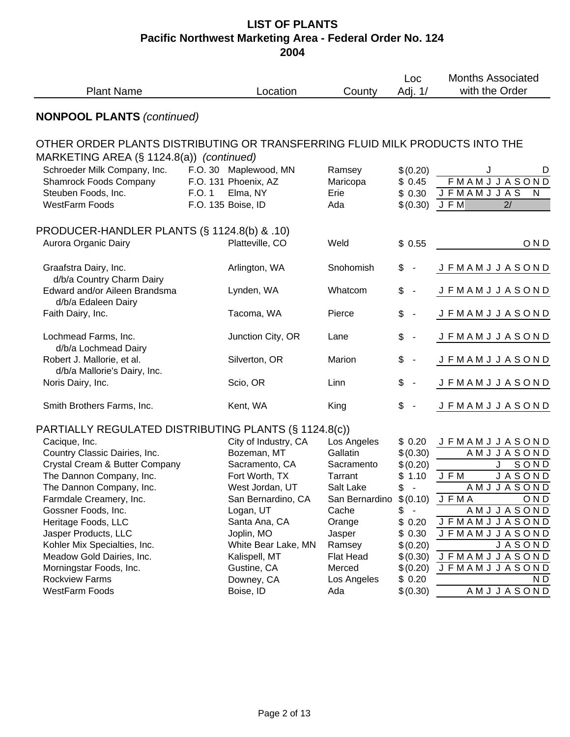| <b>Plant Name</b>                                                            |        |                              | County                     | Loc<br>Adj. 1/                 | <b>Months Associated</b><br>with the Order |
|------------------------------------------------------------------------------|--------|------------------------------|----------------------------|--------------------------------|--------------------------------------------|
| <b>NONPOOL PLANTS (continued)</b>                                            |        |                              |                            |                                |                                            |
| OTHER ORDER PLANTS DISTRIBUTING OR TRANSFERRING FLUID MILK PRODUCTS INTO THE |        |                              |                            |                                |                                            |
| MARKETING AREA (§ 1124.8(a)) (continued)                                     |        |                              |                            |                                |                                            |
| Schroeder Milk Company, Inc.                                                 |        | F.O. 30 Maplewood, MN        | Ramsey                     | \$(0.20)                       | J<br>D                                     |
| <b>Shamrock Foods Company</b>                                                |        | F.O. 131 Phoenix, AZ         | Maricopa                   | \$0.45                         | <b>FMAMJJASOND</b>                         |
| Steuben Foods, Inc.                                                          | F.O. 1 | Elma, NY                     | Erie                       | \$0.30                         | <b>JFMAMJJAS</b><br>N                      |
| <b>WestFarm Foods</b>                                                        |        | F.O. 135 Boise, ID           | Ada                        | $$(0.30)$ JFM                  | 2/                                         |
| PRODUCER-HANDLER PLANTS (§ 1124.8(b) & .10)                                  |        |                              |                            |                                |                                            |
| Aurora Organic Dairy                                                         |        | Platteville, CO              | Weld                       | \$0.55                         | OND                                        |
| Graafstra Dairy, Inc.                                                        |        | Arlington, WA                | Snohomish                  | $\frac{1}{2}$<br>$\sim$        | <b>JFMAMJJASOND</b>                        |
| d/b/a Country Charm Dairy                                                    |        |                              |                            |                                |                                            |
| Edward and/or Aileen Brandsma<br>d/b/a Edaleen Dairy                         |        | Lynden, WA                   | Whatcom                    | \$<br>$\overline{\phantom{a}}$ | <b>JFMAMJJASOND</b>                        |
| Faith Dairy, Inc.                                                            |        | Tacoma, WA                   | Pierce                     | \$<br>$\overline{\phantom{a}}$ | <b>JFMAMJJASOND</b>                        |
| Lochmead Farms, Inc.                                                         |        | Junction City, OR            | Lane                       | \$<br>$\blacksquare$           | <b>JFMAMJJASOND</b>                        |
| d/b/a Lochmead Dairy                                                         |        |                              |                            |                                |                                            |
| Robert J. Mallorie, et al.                                                   |        | Silverton, OR                | Marion                     | \$<br>$\blacksquare$           | <b>JFMAMJJASOND</b>                        |
| d/b/a Mallorie's Dairy, Inc.                                                 |        |                              |                            |                                |                                            |
| Noris Dairy, Inc.                                                            |        | Scio, OR                     | Linn                       | \$<br>$\blacksquare$           | <b>JFMAMJJASOND</b>                        |
| Smith Brothers Farms, Inc.                                                   |        | Kent, WA                     | King                       | \$<br>$\blacksquare$           | <b>JFMAMJJASOND</b>                        |
| PARTIALLY REGULATED DISTRIBUTING PLANTS (§ 1124.8(c))                        |        |                              |                            |                                |                                            |
| Cacique, Inc.                                                                |        | City of Industry, CA         | Los Angeles                | \$0.20                         | JFMAMJJASOND                               |
| Country Classic Dairies, Inc.                                                |        | Bozeman, MT                  | Gallatin                   | \$(0.30)                       | AMJJASOND                                  |
| Crystal Cream & Butter Company                                               |        | Sacramento, CA               | Sacramento                 | \$(0.20)                       | SOND<br>J.                                 |
| The Dannon Company, Inc.                                                     |        | Fort Worth, TX               | Tarrant                    | \$1.10                         | <b>JASOND</b><br>J F M                     |
| The Dannon Company, Inc.                                                     |        | West Jordan, UT              | Salt Lake                  | \$                             | AMJJASOND                                  |
| Farmdale Creamery, Inc.                                                      |        | San Bernardino, CA           | San Bernardino             | \$(0.10)                       | JFMA<br>OND                                |
| Gossner Foods, Inc.                                                          |        | Logan, UT                    | Cache                      | \$                             | AMJJASOND                                  |
| Heritage Foods, LLC                                                          |        | Santa Ana, CA                | Orange                     | \$0.20                         | <b>JFMAMJJASOND</b>                        |
| Jasper Products, LLC                                                         |        | Joplin, MO                   | Jasper                     | \$0.30                         | <b>JFMAMJJASOND</b>                        |
| Kohler Mix Specialties, Inc.                                                 |        | White Bear Lake, MN          | Ramsey                     | \$(0.20)                       | <b>JASOND</b>                              |
| Meadow Gold Dairies, Inc.<br>Morningstar Foods, Inc.                         |        | Kalispell, MT<br>Gustine, CA | <b>Flat Head</b><br>Merced | \$(0.30)                       | <b>JFMAMJJASOND</b><br><b>JFMAMJJASOND</b> |
| <b>Rockview Farms</b>                                                        |        | Downey, CA                   | Los Angeles                | \$(0.20)<br>\$0.20             | N D                                        |
| <b>WestFarm Foods</b>                                                        |        | Boise, ID                    | Ada                        | \$(0.30)                       | AMJJASOND                                  |
|                                                                              |        |                              |                            |                                |                                            |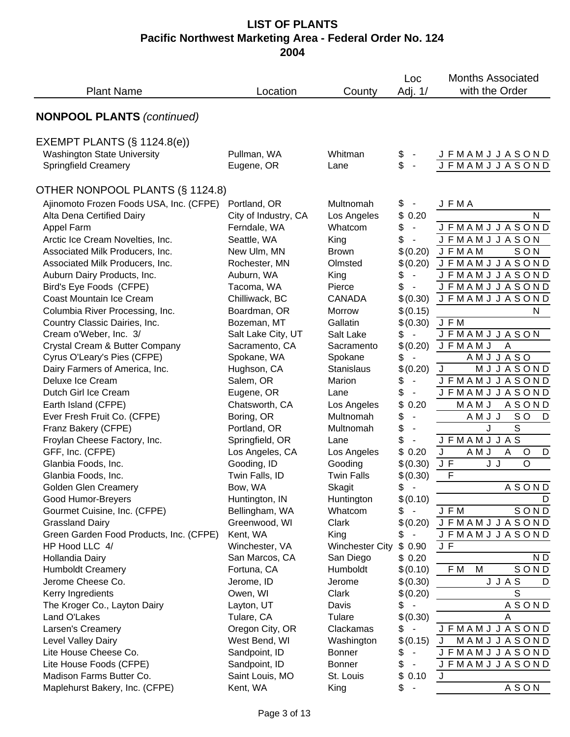|                                                      |                      |                        | Loc                            | <b>Months Associated</b>        |
|------------------------------------------------------|----------------------|------------------------|--------------------------------|---------------------------------|
| <b>Plant Name</b>                                    | Location             | County                 | Adj. 1/                        | with the Order                  |
|                                                      |                      |                        |                                |                                 |
| <b>NONPOOL PLANTS (continued)</b>                    |                      |                        |                                |                                 |
| EXEMPT PLANTS $(\S 1124.8(e))$                       |                      |                        |                                |                                 |
| <b>Washington State University</b>                   | Pullman, WA          | Whitman                | \$                             | <b>JFMAMJJASOND</b>             |
| <b>Springfield Creamery</b>                          | Eugene, OR           | Lane                   | \$                             | <b>JFMAMJJASOND</b>             |
| OTHER NONPOOL PLANTS (§ 1124.8)                      |                      |                        |                                |                                 |
| Ajinomoto Frozen Foods USA, Inc. (CFPE) Portland, OR |                      | Multnomah              | \$                             | <b>JFMA</b>                     |
| Alta Dena Certified Dairy                            | City of Industry, CA | Los Angeles            | \$0.20                         | N                               |
| Appel Farm                                           | Ferndale, WA         | Whatcom                | \$<br>$\blacksquare$           | <b>JFMAMJJASOND</b>             |
| Arctic Ice Cream Novelties, Inc.                     | Seattle, WA          | King                   | \$                             | <b>JFMAMJJASON</b>              |
| Associated Milk Producers, Inc.                      | New Ulm, MN          | <b>Brown</b>           | \$(0.20)                       | <b>JFMAM</b><br>SON             |
| Associated Milk Producers, Inc.                      | Rochester, MN        | Olmsted                | \$(0.20)                       | <b>JFMAMJJASOND</b>             |
| Auburn Dairy Products, Inc.                          | Auburn, WA           | King                   | \$<br>$\overline{\phantom{a}}$ | <b>JFMAMJJASOND</b>             |
| Bird's Eye Foods (CFPE)                              | Tacoma, WA           | Pierce                 | \$<br>$\blacksquare$           | <b>JFMAMJJASOND</b>             |
| Coast Mountain Ice Cream                             | Chilliwack, BC       | <b>CANADA</b>          | \$(0.30)                       | <b>JFMAMJJASOND</b>             |
| Columbia River Processing, Inc.                      | Boardman, OR         | Morrow                 | \$(0.15)                       | N                               |
| Country Classic Dairies, Inc.                        | Bozeman, MT          | Gallatin               | \$(0.30)                       | J F M                           |
| Cream o'Weber, Inc. 3/                               | Salt Lake City, UT   | Salt Lake              | \$                             | <b>JFMAMJJASON</b>              |
| Crystal Cream & Butter Company                       | Sacramento, CA       | Sacramento             | \$(0.20)                       | <b>JFMAMJ</b><br>A              |
| Cyrus O'Leary's Pies (CFPE)                          | Spokane, WA          | Spokane                | \$                             | AMJJASO                         |
| Dairy Farmers of America, Inc.                       | Hughson, CA          | Stanislaus             | \$(0.20)                       | MJJASOND<br>J                   |
| Deluxe Ice Cream                                     | Salem, OR            | Marion                 | \$<br>$\overline{\phantom{a}}$ | <b>JFMAMJJASOND</b>             |
| Dutch Girl Ice Cream                                 | Eugene, OR           | Lane                   | \$                             | <b>JFMAMJJASOND</b>             |
| Earth Island (CFPE)                                  | Chatsworth, CA       | Los Angeles            | \$<br>0.20                     | MAMJ<br><b>ASOND</b>            |
| Ever Fresh Fruit Co. (CFPE)                          | Boring, OR           | Multnomah              | \$<br>$\overline{\phantom{a}}$ | AMJJ<br>SO<br>D                 |
| Franz Bakery (CFPE)                                  | Portland, OR         | Multnomah              | \$<br>$\overline{\phantom{a}}$ | J<br>S                          |
| Froylan Cheese Factory, Inc.                         | Springfield, OR      | Lane                   | \$                             | <b>JFMAMJJAS</b>                |
| GFF, Inc. (CFPE)                                     | Los Angeles, CA      | Los Angeles            | \$0.20                         | J<br>A M J<br>A<br>$\circ$<br>D |
| Glanbia Foods, Inc.                                  | Gooding, ID          | Gooding                | \$(0.30)                       | $\circ$<br>J J<br>J F           |
| Glanbia Foods, Inc.                                  | Twin Falls, ID       | <b>Twin Falls</b>      | \$(0.30)                       | F                               |
| <b>Golden Glen Creamery</b>                          | Bow, WA              | Skagit                 | \$                             | <b>ASOND</b>                    |
| Good Humor-Breyers                                   | Huntington, IN       | Huntington             | \$(0.10)                       | D                               |
| Gourmet Cuisine, Inc. (CFPE)                         | Bellingham, WA       | Whatcom                | \$ -                           | J F M<br>SOND                   |
| <b>Grassland Dairy</b>                               | Greenwood, WI        | Clark                  | \$(0.20)                       | <b>JFMAMJJASOND</b>             |
| Green Garden Food Products, Inc. (CFPE)              | Kent, WA             | King                   | \$                             | <b>JFMAMJJASOND</b>             |
| HP Hood LLC 4/                                       | Winchester, VA       | <b>Winchester City</b> | \$0.90                         | J F                             |
| Hollandia Dairy                                      | San Marcos, CA       | San Diego              | \$0.20                         | $\mathsf{N}\ \mathsf{D}$        |
| <b>Humboldt Creamery</b>                             | Fortuna, CA          | Humboldt               | \$(0.10)                       | F M<br>M<br>SOND                |
| Jerome Cheese Co.                                    | Jerome, ID           | Jerome                 | \$(0.30)                       | <b>JJAS</b><br>D                |
| Kerry Ingredients                                    | Owen, WI             | Clark                  | \$(0.20)                       | S                               |
| The Kroger Co., Layton Dairy                         | Layton, UT           | Davis                  | \$<br>$\blacksquare$           | <b>ASOND</b>                    |
| Land O'Lakes                                         | Tulare, CA           | Tulare                 | \$(0.30)                       | A                               |
| Larsen's Creamery                                    | Oregon City, OR      | Clackamas              | \$<br>$\sim$                   | <b>JFMAMJJASOND</b>             |
| Level Valley Dairy                                   | West Bend, WI        | Washington             | \$(0.15)                       | MAMJJASOND                      |
| Lite House Cheese Co.                                | Sandpoint, ID        | <b>Bonner</b>          | \$                             | <b>JFMAMJJASOND</b>             |
| Lite House Foods (CFPE)                              | Sandpoint, ID        | <b>Bonner</b>          | \$                             | <b>JFMAMJJASOND</b>             |
| Madison Farms Butter Co.                             | Saint Louis, MO      | St. Louis              | \$0.10                         | J                               |
| Maplehurst Bakery, Inc. (CFPE)                       | Kent, WA             | King                   | \$                             | ASON                            |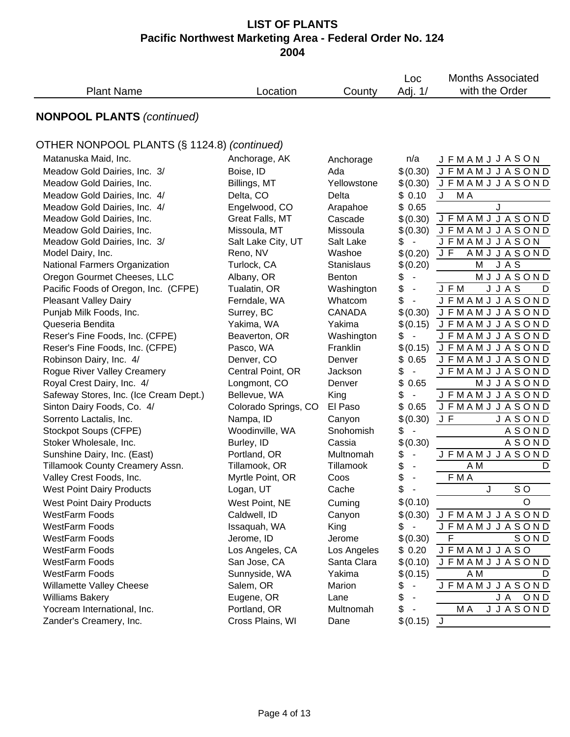| <b>Plant Name</b>                           | Location             | County            | Loc<br>Adj. 1/                 | <b>Months Associated</b><br>with the Order |
|---------------------------------------------|----------------------|-------------------|--------------------------------|--------------------------------------------|
|                                             |                      |                   |                                |                                            |
| <b>NONPOOL PLANTS (continued)</b>           |                      |                   |                                |                                            |
| OTHER NONPOOL PLANTS (§ 1124.8) (continued) |                      |                   |                                |                                            |
| Matanuska Maid, Inc.                        | Anchorage, AK        | Anchorage         | n/a                            | <b>JFMAMJJASON</b>                         |
| Meadow Gold Dairies, Inc. 3/                | Boise, ID            | Ada               | \$(0.30)                       | <b>JFMAMJJASOND</b>                        |
| Meadow Gold Dairies, Inc.                   | Billings, MT         | Yellowstone       | \$(0.30)                       | <b>JFMAMJJASOND</b>                        |
| Meadow Gold Dairies, Inc. 4/                | Delta, CO            | Delta             | \$0.10                         | J<br>M A                                   |
| Meadow Gold Dairies, Inc. 4/                | Engelwood, CO        | Arapahoe          | \$0.65                         | J                                          |
| Meadow Gold Dairies, Inc.                   | Great Falls, MT      | Cascade           | \$(0.30)                       | <b>JFMAMJJASOND</b>                        |
| Meadow Gold Dairies, Inc.                   | Missoula, MT         | Missoula          | \$(0.30)                       | <b>JFMAMJJASOND</b>                        |
| Meadow Gold Dairies, Inc. 3/                | Salt Lake City, UT   | Salt Lake         | \$<br>$\overline{\phantom{a}}$ | <b>JFMAMJJASON</b>                         |
| Model Dairy, Inc.                           | Reno, NV             | Washoe            | \$(0.20)                       | JF<br>AMJJASOND                            |
| National Farmers Organization               | Turlock, CA          | <b>Stanislaus</b> | \$(0.20)                       | JAS<br>Μ                                   |
| Oregon Gourmet Cheeses, LLC                 | Albany, OR           | <b>Benton</b>     | \$<br>$\blacksquare$           | MJJASOND                                   |
| Pacific Foods of Oregon, Inc. (CFPE)        | Tualatin, OR         | Washington        | \$<br>$\overline{\phantom{a}}$ | <b>JJAS</b><br>J F M<br>D                  |
| <b>Pleasant Valley Dairy</b>                | Ferndale, WA         | Whatcom           | \$<br>$\overline{\phantom{a}}$ | <b>JFMAMJJASOND</b>                        |
| Punjab Milk Foods, Inc.                     | Surrey, BC           | <b>CANADA</b>     | \$(0.30)                       | <b>JFMAMJJASOND</b>                        |
| Queseria Bendita                            | Yakima, WA           | Yakima            | \$(0.15)                       | <b>JFMAMJJASOND</b>                        |
| Reser's Fine Foods, Inc. (CFPE)             | Beaverton, OR        | Washington        | \$<br>$\blacksquare$           | <b>JFMAMJJASOND</b>                        |
| Reser's Fine Foods, Inc. (CFPE)             | Pasco, WA            | Franklin          | \$(0.15)                       | <b>JFMAMJJASOND</b>                        |
| Robinson Dairy, Inc. 4/                     | Denver, CO           | Denver            | \$0.65                         | <b>JFMAMJJASOND</b>                        |
| Rogue River Valley Creamery                 | Central Point, OR    | Jackson           | \$<br>$\blacksquare$           | <b>JFMAMJJASOND</b>                        |
| Royal Crest Dairy, Inc. 4/                  | Longmont, CO         | Denver            | \$<br>0.65                     | MJJASOND                                   |
| Safeway Stores, Inc. (Ice Cream Dept.)      | Bellevue, WA         | King              | \$<br>$\overline{\phantom{a}}$ | <b>JFMAMJJASOND</b>                        |
| Sinton Dairy Foods, Co. 4/                  | Colorado Springs, CO | El Paso           | \$0.65                         | <b>JFMAMJJASOND</b>                        |
| Sorrento Lactalis, Inc.                     | Nampa, ID            | Canyon            | \$(0.30)                       | J F<br><b>JASOND</b>                       |
| Stockpot Soups (CFPE)                       | Woodinville, WA      | Snohomish         | \$<br>$\overline{\phantom{a}}$ | <b>ASOND</b>                               |
| Stoker Wholesale, Inc.                      | Burley, ID           | Cassia            | \$(0.30)                       | <b>ASOND</b>                               |
| Sunshine Dairy, Inc. (East)                 | Portland, OR         | Multnomah         | \$                             | <b>JFMAMJJASOND</b>                        |
| Tillamook County Creamery Assn.             | Tillamook, OR        | Tillamook         | \$                             | $\overline{AM}$<br>D                       |
| Valley Crest Foods, Inc.                    | Myrtle Point, OR     | Coos              | \$<br>$\overline{\phantom{a}}$ | F M A                                      |
| <b>West Point Dairy Products</b>            | Logan, UT            | Cache             | \$<br>- -                      | SO.<br>$\overline{\mathsf{J}}$             |
| <b>West Point Dairy Products</b>            | West Point, NE       | Cuming            | \$(0.10)                       | O                                          |
| <b>WestFarm Foods</b>                       | Caldwell, ID         | Canyon            | \$(0.30)                       | <b>JFMAMJJASOND</b>                        |
| <b>WestFarm Foods</b>                       | Issaquah, WA         | King              | \$<br>$\overline{\phantom{a}}$ | <b>JFMAMJJASOND</b>                        |
| <b>WestFarm Foods</b>                       | Jerome, ID           | Jerome            | \$(0.30)                       | F<br>SOND                                  |
| <b>WestFarm Foods</b>                       | Los Angeles, CA      | Los Angeles       | \$0.20                         | <b>JFMAMJJASO</b>                          |
| <b>WestFarm Foods</b>                       | San Jose, CA         | Santa Clara       | \$(0.10)                       | <b>JFMAMJJASOND</b>                        |
| <b>WestFarm Foods</b>                       | Sunnyside, WA        | Yakima            | \$(0.15)                       | A M<br>D                                   |
| Willamette Valley Cheese                    | Salem, OR            | Marion            | \$                             | <b>JFMAMJJASOND</b>                        |
| <b>Williams Bakery</b>                      | Eugene, OR           | Lane              | \$                             | JA OND                                     |
| Yocream International, Inc.                 | Portland, OR         | Multnomah         | \$                             | M A<br><b>JJASOND</b>                      |
| Zander's Creamery, Inc.                     | Cross Plains, WI     | Dane              | \$(0.15)                       | J                                          |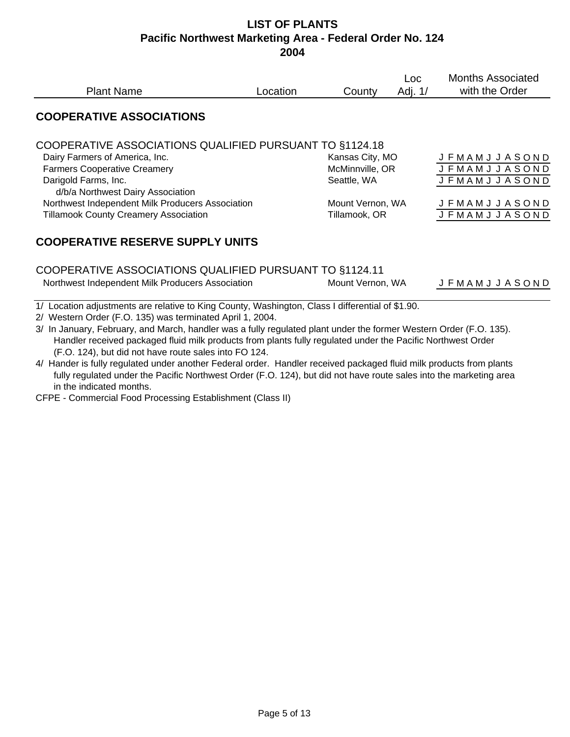| <b>Plant Name</b>                                         | Location | County           | Loc.<br>Adj. 1/ | <b>Months Associated</b><br>with the Order |
|-----------------------------------------------------------|----------|------------------|-----------------|--------------------------------------------|
| <b>COOPERATIVE ASSOCIATIONS</b>                           |          |                  |                 |                                            |
| COOPERATIVE ASSOCIATIONS QUALIFIED PURSUANT TO §1124.18   |          |                  |                 |                                            |
| Dairy Farmers of America, Inc.                            |          | Kansas City, MO  |                 | <b>JFMAMJJASOND</b>                        |
| <b>Farmers Cooperative Creamery</b>                       |          | McMinnville, OR  |                 | <b>JFMAMJJASOND</b>                        |
| Darigold Farms, Inc.<br>d/b/a Northwest Dairy Association |          | Seattle, WA      |                 | <b>JFMAMJJASOND</b>                        |
| Northwest Independent Milk Producers Association          |          | Mount Vernon, WA |                 | <b>JFMAMJJASOND</b>                        |
| <b>Tillamook County Creamery Association</b>              |          | Tillamook, OR    |                 | <b>J F M A M J J A S O N D</b>             |
| <b>COOPERATIVE RESERVE SUPPLY UNITS</b>                   |          |                  |                 |                                            |
| COOPERATIVE ASSOCIATIONS QUALIFIED PURSUANT TO §1124.11   |          |                  |                 |                                            |

Northwest Independent Milk Producers Association Mount Vernon, WA J F M A M J J A S O N D

1/ Location adjustments are relative to King County, Washington, Class I differential of \$1.90.

2/ Western Order (F.O. 135) was terminated April 1, 2004.

3/ In January, February, and March, handler was a fully regulated plant under the former Western Order (F.O. 135). Handler received packaged fluid milk products from plants fully regulated under the Pacific Northwest Order (F.O. 124), but did not have route sales into FO 124.

4/ Hander is fully regulated under another Federal order. Handler received packaged fluid milk products from plants fully regulated under the Pacific Northwest Order (F.O. 124), but did not have route sales into the marketing area in the indicated months.

CFPE - Commercial Food Processing Establishment (Class II)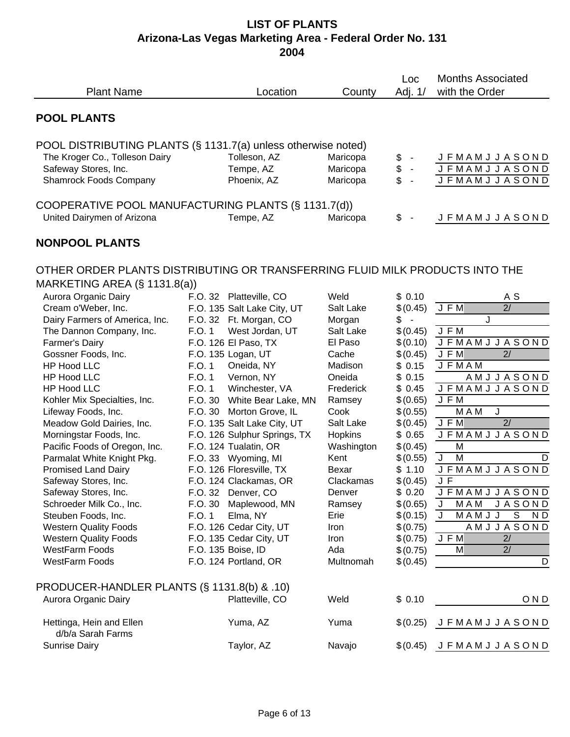| <b>Plant Name</b>                                                                                                                                        |         | Location                                               | County                           | Loc<br>Adj. 1/                     | <b>Months Associated</b><br>with the Order                        |
|----------------------------------------------------------------------------------------------------------------------------------------------------------|---------|--------------------------------------------------------|----------------------------------|------------------------------------|-------------------------------------------------------------------|
| <b>POOL PLANTS</b>                                                                                                                                       |         |                                                        |                                  |                                    |                                                                   |
| POOL DISTRIBUTING PLANTS (§ 1131.7(a) unless otherwise noted)<br>The Kroger Co., Tolleson Dairy<br>Safeway Stores, Inc.<br><b>Shamrock Foods Company</b> |         | Tolleson, AZ<br>Tempe, AZ<br>Phoenix, AZ               | Maricopa<br>Maricopa<br>Maricopa | \$<br>$\sim$<br>\$<br>$\sim$<br>\$ | <b>JFMAMJJASOND</b><br><b>JFMAMJJASOND</b><br><b>JFMAMJJASOND</b> |
| COOPERATIVE POOL MANUFACTURING PLANTS (§ 1131.7(d))<br>United Dairymen of Arizona                                                                        |         | Tempe, AZ                                              | Maricopa                         | \$<br>$\overline{\phantom{a}}$     | <b>JFMAMJJASOND</b>                                               |
| <b>NONPOOL PLANTS</b>                                                                                                                                    |         |                                                        |                                  |                                    |                                                                   |
| OTHER ORDER PLANTS DISTRIBUTING OR TRANSFERRING FLUID MILK PRODUCTS INTO THE<br>MARKETING AREA (§ 1131.8(a))                                             |         |                                                        |                                  |                                    |                                                                   |
| Aurora Organic Dairy<br>Cream o'Weber, Inc.                                                                                                              |         | F.O. 32 Platteville, CO<br>F.O. 135 Salt Lake City, UT | Weld<br>Salt Lake                | \$0.10<br>\$(0.45)                 | A S<br>$\overline{2/}$<br>J F M                                   |
| Dairy Farmers of America, Inc.                                                                                                                           |         | F.O. 32 Ft. Morgan, CO                                 | Morgan                           | \$<br>$\sim$                       | J                                                                 |
| The Dannon Company, Inc.                                                                                                                                 | F.O. 1  | West Jordan, UT                                        | Salt Lake                        | \$(0.45)                           | J F M                                                             |
| Farmer's Dairy                                                                                                                                           |         | F.O. 126 El Paso, TX                                   | El Paso                          | \$(0.10)                           | <b>JFMAMJJASOND</b>                                               |
| Gossner Foods, Inc.                                                                                                                                      |         | F.O. 135 Logan, UT                                     | Cache                            | \$(0.45)                           | JFM<br>2/                                                         |
| <b>HP Hood LLC</b>                                                                                                                                       | F.O. 1  | Oneida, NY                                             | Madison                          | \$0.15                             | <b>JFMAM</b>                                                      |
| <b>HP Hood LLC</b>                                                                                                                                       | F.O. 1  | Vernon, NY                                             | Oneida                           | \$0.15                             | AMJJASOND                                                         |
| <b>HP Hood LLC</b>                                                                                                                                       | F.O. 1  | Winchester, VA                                         | Frederick                        | \$0.45                             | <b>JFMAMJJASOND</b>                                               |
| Kohler Mix Specialties, Inc.                                                                                                                             | F.O. 30 | White Bear Lake, MN                                    | Ramsey                           | \$(0.65)                           | J F M                                                             |
| Lifeway Foods, Inc.                                                                                                                                      | F.O. 30 | Morton Grove, IL                                       | Cook                             | \$(0.55)                           | $\overline{M}$ A M<br>J                                           |
| Meadow Gold Dairies, Inc.                                                                                                                                |         | F.O. 135 Salt Lake City, UT                            | Salt Lake                        | \$(0.45)                           | 2/<br>J F M                                                       |
| Morningstar Foods, Inc.                                                                                                                                  |         | F.O. 126 Sulphur Springs, TX                           | Hopkins                          | \$0.65                             | <b>JFMAMJJASOND</b>                                               |
| Pacific Foods of Oregon, Inc.                                                                                                                            |         | F.O. 124 Tualatin, OR                                  | Washington                       | \$(0.45)                           | M                                                                 |
| Parmalat White Knight Pkg.                                                                                                                               |         | F.O. 33 Wyoming, MI                                    | Kent                             | \$(0.55)                           | M<br>J<br>D                                                       |
| <b>Promised Land Dairy</b>                                                                                                                               |         | F.O. 126 Floresville, TX                               | Bexar                            | \$1.10                             | <b>JFMAMJJASOND</b>                                               |
| Safeway Stores, Inc.                                                                                                                                     |         | F.O. 124 Clackamas, OR                                 | Clackamas                        | \$(0.45)                           | J F                                                               |
| Safeway Stores, Inc.                                                                                                                                     |         | F.O. 32 Denver, CO                                     | Denver                           | \$0.20                             | <b>JFMAMJJASOND</b>                                               |
| Schroeder Milk Co., Inc.                                                                                                                                 |         | F.O. 30 Maplewood, MN                                  | Ramsey                           | \$(0.65)                           | <b>JASOND</b><br>J<br>M A M                                       |
| Steuben Foods, Inc.                                                                                                                                      | F.O. 1  | Elma, NY                                               | Erie                             | \$(0.15)                           | $\overline{S}$<br>J<br>MAMJJ<br>ND                                |
| <b>Western Quality Foods</b>                                                                                                                             |         | F.O. 126 Cedar City, UT                                | Iron                             | \$(0.75)                           | AMJJASOND                                                         |
| <b>Western Quality Foods</b>                                                                                                                             |         | F.O. 135 Cedar City, UT                                | Iron                             | \$(0.75)                           | J F M<br>2/                                                       |
| <b>WestFarm Foods</b>                                                                                                                                    |         | F.O. 135 Boise, ID                                     | Ada                              | \$(0.75)                           | 2/<br>M                                                           |
| <b>WestFarm Foods</b>                                                                                                                                    |         | F.O. 124 Portland, OR                                  | Multnomah                        | \$(0.45)                           | D                                                                 |
| PRODUCER-HANDLER PLANTS (§ 1131.8(b) & .10)                                                                                                              |         |                                                        |                                  |                                    |                                                                   |
| Aurora Organic Dairy                                                                                                                                     |         | Platteville, CO                                        | Weld                             | \$0.10                             | OND                                                               |
| Hettinga, Hein and Ellen<br>d/b/a Sarah Farms                                                                                                            |         | Yuma, AZ                                               | Yuma                             | \$(0.25)                           | <b>JFMAMJJASOND</b>                                               |
| <b>Sunrise Dairy</b>                                                                                                                                     |         | Taylor, AZ                                             | Navajo                           | \$(0.45)                           | <b>JFMAMJJASOND</b>                                               |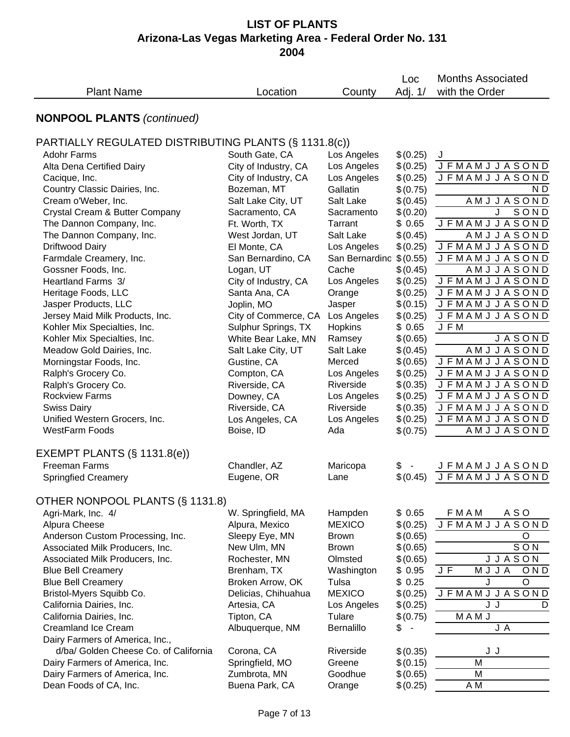| <b>NONPOOL PLANTS (continued)</b><br>PARTIALLY REGULATED DISTRIBUTING PLANTS (§ 1131.8(c))<br><b>Adohr Farms</b><br>South Gate, CA<br>Los Angeles<br>\$(0.25)<br>J<br>Los Angeles<br>City of Industry, CA<br>\$(0.25)<br>Alta Dena Certified Dairy<br>City of Industry, CA<br>Los Angeles<br>\$(0.25)<br>Cacique, Inc.<br>Country Classic Dairies, Inc.<br>Bozeman, MT<br>Gallatin<br>\$(0.75)<br>Cream o'Weber, Inc.<br>Salt Lake<br>\$(0.45)<br>Salt Lake City, UT<br>J<br>Crystal Cream & Butter Company<br>Sacramento, CA<br>\$(0.20)<br>Sacramento<br>The Dannon Company, Inc.<br><b>JFMAMJJASOND</b><br>\$0.65<br>Ft. Worth, TX<br>Tarrant<br>\$(0.45)<br>AMJJASOND<br>The Dannon Company, Inc.<br>Salt Lake<br>West Jordan, UT<br>\$(0.25)<br><b>JFMAMJJASOND</b><br><b>Driftwood Dairy</b><br>Los Angeles<br>El Monte, CA<br>San Bernardino \$(0.55)<br><b>JFMAMJJASOND</b><br>Farmdale Creamery, Inc.<br>San Bernardino, CA<br>\$(0.45)<br>AMJJASOND<br>Gossner Foods, Inc.<br>Cache<br>Logan, UT<br><b>JFMAMJJASOND</b><br>Heartland Farms 3/<br>City of Industry, CA<br>Los Angeles<br>\$(0.25)<br>Heritage Foods, LLC<br>\$(0.25)<br><b>JFMAMJJASOND</b><br>Santa Ana, CA<br>Orange<br><b>JFMAMJJASOND</b><br>Jasper Products, LLC<br>\$(0.15)<br>Joplin, MO<br>Jasper<br><b>JFMAMJJASOND</b><br>Jersey Maid Milk Products, Inc.<br>City of Commerce, CA<br>Los Angeles<br>\$(0.25)<br>Kohler Mix Specialties, Inc.<br>Sulphur Springs, TX<br>Hopkins<br>\$0.65<br>J F M<br>JASOND<br>Kohler Mix Specialties, Inc.<br>White Bear Lake, MN<br>\$(0.65)<br>Ramsey<br>Meadow Gold Dairies, Inc.<br>AMJJASOND<br>Salt Lake City, UT<br>Salt Lake<br>\$(0.45)<br>Morningstar Foods, Inc.<br>Gustine, CA<br>Merced<br>\$(0.65)<br><b>JFMAMJJASOND</b><br>Ralph's Grocery Co.<br>Compton, CA<br>\$(0.25)<br><b>JFMAMJJASOND</b><br>Los Angeles<br>Riverside, CA<br>Riverside<br>Ralph's Grocery Co.<br>\$(0.35)<br><b>JFMAMJJASOND</b><br><b>Rockview Farms</b><br>\$(0.25)<br><b>JFMAMJJASOND</b><br>Downey, CA<br>Los Angeles<br>Riverside, CA<br>Riverside<br>\$(0.35)<br><b>JFMAMJJASOND</b><br><b>Swiss Dairy</b><br>Unified Western Grocers, Inc.<br><b>JFMAMJJASOND</b><br>Los Angeles<br>\$(0.25)<br>Los Angeles, CA<br><b>WestFarm Foods</b><br>Boise, ID<br>\$(0.75)<br>Ada<br>EXEMPT PLANTS $(\S$ 1131.8(e))<br><b>Freeman Farms</b><br>Chandler, AZ<br>Maricopa<br>\$<br><b>Springfied Creamery</b><br>Eugene, OR<br>\$(0.45)<br>Lane<br>OTHER NONPOOL PLANTS (§ 1131.8)<br>W. Springfield, MA<br>Hampden<br>\$0.65<br><b>FMAM</b><br>A SO<br>Agri-Mark, Inc. 4/<br><b>JFMAMJJASOND</b><br>Alpura, Mexico<br><b>MEXICO</b><br>\$(0.25)<br>Alpura Cheese<br>$\circ$<br>Sleepy Eye, MN<br>\$(0.65)<br>Anderson Custom Processing, Inc.<br><b>Brown</b><br>SON<br>New Ulm, MN<br>\$(0.65)<br>Associated Milk Producers, Inc.<br><b>Brown</b><br><b>JJASON</b><br>Rochester, MN<br>Olmsted<br>\$(0.65)<br>Associated Milk Producers, Inc.<br>J F<br>\$0.95<br>OND<br>Brenham, TX<br>Washington<br>MJJA<br><b>Blue Bell Creamery</b><br>$\circ$<br>\$0.25<br>J<br><b>Blue Bell Creamery</b><br>Broken Arrow, OK<br>Tulsa<br>Bristol-Myers Squibb Co.<br><b>JFMAMJJASOND</b><br>Delicias, Chihuahua<br><b>MEXICO</b><br>\$(0.25)<br>\$(0.25)<br>J J<br>California Dairies, Inc.<br>Artesia, CA<br>Los Angeles<br>Tulare<br>MAMJ<br>California Dairies, Inc.<br>Tipton, CA<br>\$(0.75)<br><b>Creamland Ice Cream</b><br>Bernalillo<br>J A<br>Albuquerque, NM<br>\$<br>Dairy Farmers of America, Inc., | <b>Plant Name</b>                     | Location   | County    | Loc<br>Adj. 1/ | <b>Months Associated</b><br>with the Order |
|-----------------------------------------------------------------------------------------------------------------------------------------------------------------------------------------------------------------------------------------------------------------------------------------------------------------------------------------------------------------------------------------------------------------------------------------------------------------------------------------------------------------------------------------------------------------------------------------------------------------------------------------------------------------------------------------------------------------------------------------------------------------------------------------------------------------------------------------------------------------------------------------------------------------------------------------------------------------------------------------------------------------------------------------------------------------------------------------------------------------------------------------------------------------------------------------------------------------------------------------------------------------------------------------------------------------------------------------------------------------------------------------------------------------------------------------------------------------------------------------------------------------------------------------------------------------------------------------------------------------------------------------------------------------------------------------------------------------------------------------------------------------------------------------------------------------------------------------------------------------------------------------------------------------------------------------------------------------------------------------------------------------------------------------------------------------------------------------------------------------------------------------------------------------------------------------------------------------------------------------------------------------------------------------------------------------------------------------------------------------------------------------------------------------------------------------------------------------------------------------------------------------------------------------------------------------------------------------------------------------------------------------------------------------------------------------------------------------------------------------------------------------------------------------------------------------------------------------------------------------------------------------------------------------------------------------------------------------------------------------------------------------------------------------------------------------------------------------------------------------------------------------------------------------------------------------------------------------------------------------------------------------------------------------------------------------------------------------------------------------------------------------------------------------------------------------------------------------------------------------------------------------|---------------------------------------|------------|-----------|----------------|--------------------------------------------|
|                                                                                                                                                                                                                                                                                                                                                                                                                                                                                                                                                                                                                                                                                                                                                                                                                                                                                                                                                                                                                                                                                                                                                                                                                                                                                                                                                                                                                                                                                                                                                                                                                                                                                                                                                                                                                                                                                                                                                                                                                                                                                                                                                                                                                                                                                                                                                                                                                                                                                                                                                                                                                                                                                                                                                                                                                                                                                                                                                                                                                                                                                                                                                                                                                                                                                                                                                                                                                                                                                                                 |                                       |            |           |                |                                            |
|                                                                                                                                                                                                                                                                                                                                                                                                                                                                                                                                                                                                                                                                                                                                                                                                                                                                                                                                                                                                                                                                                                                                                                                                                                                                                                                                                                                                                                                                                                                                                                                                                                                                                                                                                                                                                                                                                                                                                                                                                                                                                                                                                                                                                                                                                                                                                                                                                                                                                                                                                                                                                                                                                                                                                                                                                                                                                                                                                                                                                                                                                                                                                                                                                                                                                                                                                                                                                                                                                                                 |                                       |            |           |                |                                            |
|                                                                                                                                                                                                                                                                                                                                                                                                                                                                                                                                                                                                                                                                                                                                                                                                                                                                                                                                                                                                                                                                                                                                                                                                                                                                                                                                                                                                                                                                                                                                                                                                                                                                                                                                                                                                                                                                                                                                                                                                                                                                                                                                                                                                                                                                                                                                                                                                                                                                                                                                                                                                                                                                                                                                                                                                                                                                                                                                                                                                                                                                                                                                                                                                                                                                                                                                                                                                                                                                                                                 |                                       |            |           |                |                                            |
|                                                                                                                                                                                                                                                                                                                                                                                                                                                                                                                                                                                                                                                                                                                                                                                                                                                                                                                                                                                                                                                                                                                                                                                                                                                                                                                                                                                                                                                                                                                                                                                                                                                                                                                                                                                                                                                                                                                                                                                                                                                                                                                                                                                                                                                                                                                                                                                                                                                                                                                                                                                                                                                                                                                                                                                                                                                                                                                                                                                                                                                                                                                                                                                                                                                                                                                                                                                                                                                                                                                 |                                       |            |           |                |                                            |
|                                                                                                                                                                                                                                                                                                                                                                                                                                                                                                                                                                                                                                                                                                                                                                                                                                                                                                                                                                                                                                                                                                                                                                                                                                                                                                                                                                                                                                                                                                                                                                                                                                                                                                                                                                                                                                                                                                                                                                                                                                                                                                                                                                                                                                                                                                                                                                                                                                                                                                                                                                                                                                                                                                                                                                                                                                                                                                                                                                                                                                                                                                                                                                                                                                                                                                                                                                                                                                                                                                                 |                                       |            |           |                | <b>JFMAMJJASOND</b>                        |
|                                                                                                                                                                                                                                                                                                                                                                                                                                                                                                                                                                                                                                                                                                                                                                                                                                                                                                                                                                                                                                                                                                                                                                                                                                                                                                                                                                                                                                                                                                                                                                                                                                                                                                                                                                                                                                                                                                                                                                                                                                                                                                                                                                                                                                                                                                                                                                                                                                                                                                                                                                                                                                                                                                                                                                                                                                                                                                                                                                                                                                                                                                                                                                                                                                                                                                                                                                                                                                                                                                                 |                                       |            |           |                | <b>JFMAMJJASOND</b>                        |
|                                                                                                                                                                                                                                                                                                                                                                                                                                                                                                                                                                                                                                                                                                                                                                                                                                                                                                                                                                                                                                                                                                                                                                                                                                                                                                                                                                                                                                                                                                                                                                                                                                                                                                                                                                                                                                                                                                                                                                                                                                                                                                                                                                                                                                                                                                                                                                                                                                                                                                                                                                                                                                                                                                                                                                                                                                                                                                                                                                                                                                                                                                                                                                                                                                                                                                                                                                                                                                                                                                                 |                                       |            |           |                | N D                                        |
|                                                                                                                                                                                                                                                                                                                                                                                                                                                                                                                                                                                                                                                                                                                                                                                                                                                                                                                                                                                                                                                                                                                                                                                                                                                                                                                                                                                                                                                                                                                                                                                                                                                                                                                                                                                                                                                                                                                                                                                                                                                                                                                                                                                                                                                                                                                                                                                                                                                                                                                                                                                                                                                                                                                                                                                                                                                                                                                                                                                                                                                                                                                                                                                                                                                                                                                                                                                                                                                                                                                 |                                       |            |           |                | <b>AMJJASOND</b>                           |
|                                                                                                                                                                                                                                                                                                                                                                                                                                                                                                                                                                                                                                                                                                                                                                                                                                                                                                                                                                                                                                                                                                                                                                                                                                                                                                                                                                                                                                                                                                                                                                                                                                                                                                                                                                                                                                                                                                                                                                                                                                                                                                                                                                                                                                                                                                                                                                                                                                                                                                                                                                                                                                                                                                                                                                                                                                                                                                                                                                                                                                                                                                                                                                                                                                                                                                                                                                                                                                                                                                                 |                                       |            |           |                | SOND                                       |
|                                                                                                                                                                                                                                                                                                                                                                                                                                                                                                                                                                                                                                                                                                                                                                                                                                                                                                                                                                                                                                                                                                                                                                                                                                                                                                                                                                                                                                                                                                                                                                                                                                                                                                                                                                                                                                                                                                                                                                                                                                                                                                                                                                                                                                                                                                                                                                                                                                                                                                                                                                                                                                                                                                                                                                                                                                                                                                                                                                                                                                                                                                                                                                                                                                                                                                                                                                                                                                                                                                                 |                                       |            |           |                |                                            |
|                                                                                                                                                                                                                                                                                                                                                                                                                                                                                                                                                                                                                                                                                                                                                                                                                                                                                                                                                                                                                                                                                                                                                                                                                                                                                                                                                                                                                                                                                                                                                                                                                                                                                                                                                                                                                                                                                                                                                                                                                                                                                                                                                                                                                                                                                                                                                                                                                                                                                                                                                                                                                                                                                                                                                                                                                                                                                                                                                                                                                                                                                                                                                                                                                                                                                                                                                                                                                                                                                                                 |                                       |            |           |                |                                            |
|                                                                                                                                                                                                                                                                                                                                                                                                                                                                                                                                                                                                                                                                                                                                                                                                                                                                                                                                                                                                                                                                                                                                                                                                                                                                                                                                                                                                                                                                                                                                                                                                                                                                                                                                                                                                                                                                                                                                                                                                                                                                                                                                                                                                                                                                                                                                                                                                                                                                                                                                                                                                                                                                                                                                                                                                                                                                                                                                                                                                                                                                                                                                                                                                                                                                                                                                                                                                                                                                                                                 |                                       |            |           |                |                                            |
|                                                                                                                                                                                                                                                                                                                                                                                                                                                                                                                                                                                                                                                                                                                                                                                                                                                                                                                                                                                                                                                                                                                                                                                                                                                                                                                                                                                                                                                                                                                                                                                                                                                                                                                                                                                                                                                                                                                                                                                                                                                                                                                                                                                                                                                                                                                                                                                                                                                                                                                                                                                                                                                                                                                                                                                                                                                                                                                                                                                                                                                                                                                                                                                                                                                                                                                                                                                                                                                                                                                 |                                       |            |           |                |                                            |
|                                                                                                                                                                                                                                                                                                                                                                                                                                                                                                                                                                                                                                                                                                                                                                                                                                                                                                                                                                                                                                                                                                                                                                                                                                                                                                                                                                                                                                                                                                                                                                                                                                                                                                                                                                                                                                                                                                                                                                                                                                                                                                                                                                                                                                                                                                                                                                                                                                                                                                                                                                                                                                                                                                                                                                                                                                                                                                                                                                                                                                                                                                                                                                                                                                                                                                                                                                                                                                                                                                                 |                                       |            |           |                |                                            |
|                                                                                                                                                                                                                                                                                                                                                                                                                                                                                                                                                                                                                                                                                                                                                                                                                                                                                                                                                                                                                                                                                                                                                                                                                                                                                                                                                                                                                                                                                                                                                                                                                                                                                                                                                                                                                                                                                                                                                                                                                                                                                                                                                                                                                                                                                                                                                                                                                                                                                                                                                                                                                                                                                                                                                                                                                                                                                                                                                                                                                                                                                                                                                                                                                                                                                                                                                                                                                                                                                                                 |                                       |            |           |                |                                            |
|                                                                                                                                                                                                                                                                                                                                                                                                                                                                                                                                                                                                                                                                                                                                                                                                                                                                                                                                                                                                                                                                                                                                                                                                                                                                                                                                                                                                                                                                                                                                                                                                                                                                                                                                                                                                                                                                                                                                                                                                                                                                                                                                                                                                                                                                                                                                                                                                                                                                                                                                                                                                                                                                                                                                                                                                                                                                                                                                                                                                                                                                                                                                                                                                                                                                                                                                                                                                                                                                                                                 |                                       |            |           |                |                                            |
|                                                                                                                                                                                                                                                                                                                                                                                                                                                                                                                                                                                                                                                                                                                                                                                                                                                                                                                                                                                                                                                                                                                                                                                                                                                                                                                                                                                                                                                                                                                                                                                                                                                                                                                                                                                                                                                                                                                                                                                                                                                                                                                                                                                                                                                                                                                                                                                                                                                                                                                                                                                                                                                                                                                                                                                                                                                                                                                                                                                                                                                                                                                                                                                                                                                                                                                                                                                                                                                                                                                 |                                       |            |           |                |                                            |
|                                                                                                                                                                                                                                                                                                                                                                                                                                                                                                                                                                                                                                                                                                                                                                                                                                                                                                                                                                                                                                                                                                                                                                                                                                                                                                                                                                                                                                                                                                                                                                                                                                                                                                                                                                                                                                                                                                                                                                                                                                                                                                                                                                                                                                                                                                                                                                                                                                                                                                                                                                                                                                                                                                                                                                                                                                                                                                                                                                                                                                                                                                                                                                                                                                                                                                                                                                                                                                                                                                                 |                                       |            |           |                |                                            |
|                                                                                                                                                                                                                                                                                                                                                                                                                                                                                                                                                                                                                                                                                                                                                                                                                                                                                                                                                                                                                                                                                                                                                                                                                                                                                                                                                                                                                                                                                                                                                                                                                                                                                                                                                                                                                                                                                                                                                                                                                                                                                                                                                                                                                                                                                                                                                                                                                                                                                                                                                                                                                                                                                                                                                                                                                                                                                                                                                                                                                                                                                                                                                                                                                                                                                                                                                                                                                                                                                                                 |                                       |            |           |                |                                            |
|                                                                                                                                                                                                                                                                                                                                                                                                                                                                                                                                                                                                                                                                                                                                                                                                                                                                                                                                                                                                                                                                                                                                                                                                                                                                                                                                                                                                                                                                                                                                                                                                                                                                                                                                                                                                                                                                                                                                                                                                                                                                                                                                                                                                                                                                                                                                                                                                                                                                                                                                                                                                                                                                                                                                                                                                                                                                                                                                                                                                                                                                                                                                                                                                                                                                                                                                                                                                                                                                                                                 |                                       |            |           |                |                                            |
|                                                                                                                                                                                                                                                                                                                                                                                                                                                                                                                                                                                                                                                                                                                                                                                                                                                                                                                                                                                                                                                                                                                                                                                                                                                                                                                                                                                                                                                                                                                                                                                                                                                                                                                                                                                                                                                                                                                                                                                                                                                                                                                                                                                                                                                                                                                                                                                                                                                                                                                                                                                                                                                                                                                                                                                                                                                                                                                                                                                                                                                                                                                                                                                                                                                                                                                                                                                                                                                                                                                 |                                       |            |           |                |                                            |
|                                                                                                                                                                                                                                                                                                                                                                                                                                                                                                                                                                                                                                                                                                                                                                                                                                                                                                                                                                                                                                                                                                                                                                                                                                                                                                                                                                                                                                                                                                                                                                                                                                                                                                                                                                                                                                                                                                                                                                                                                                                                                                                                                                                                                                                                                                                                                                                                                                                                                                                                                                                                                                                                                                                                                                                                                                                                                                                                                                                                                                                                                                                                                                                                                                                                                                                                                                                                                                                                                                                 |                                       |            |           |                |                                            |
|                                                                                                                                                                                                                                                                                                                                                                                                                                                                                                                                                                                                                                                                                                                                                                                                                                                                                                                                                                                                                                                                                                                                                                                                                                                                                                                                                                                                                                                                                                                                                                                                                                                                                                                                                                                                                                                                                                                                                                                                                                                                                                                                                                                                                                                                                                                                                                                                                                                                                                                                                                                                                                                                                                                                                                                                                                                                                                                                                                                                                                                                                                                                                                                                                                                                                                                                                                                                                                                                                                                 |                                       |            |           |                |                                            |
|                                                                                                                                                                                                                                                                                                                                                                                                                                                                                                                                                                                                                                                                                                                                                                                                                                                                                                                                                                                                                                                                                                                                                                                                                                                                                                                                                                                                                                                                                                                                                                                                                                                                                                                                                                                                                                                                                                                                                                                                                                                                                                                                                                                                                                                                                                                                                                                                                                                                                                                                                                                                                                                                                                                                                                                                                                                                                                                                                                                                                                                                                                                                                                                                                                                                                                                                                                                                                                                                                                                 |                                       |            |           |                |                                            |
|                                                                                                                                                                                                                                                                                                                                                                                                                                                                                                                                                                                                                                                                                                                                                                                                                                                                                                                                                                                                                                                                                                                                                                                                                                                                                                                                                                                                                                                                                                                                                                                                                                                                                                                                                                                                                                                                                                                                                                                                                                                                                                                                                                                                                                                                                                                                                                                                                                                                                                                                                                                                                                                                                                                                                                                                                                                                                                                                                                                                                                                                                                                                                                                                                                                                                                                                                                                                                                                                                                                 |                                       |            |           |                |                                            |
|                                                                                                                                                                                                                                                                                                                                                                                                                                                                                                                                                                                                                                                                                                                                                                                                                                                                                                                                                                                                                                                                                                                                                                                                                                                                                                                                                                                                                                                                                                                                                                                                                                                                                                                                                                                                                                                                                                                                                                                                                                                                                                                                                                                                                                                                                                                                                                                                                                                                                                                                                                                                                                                                                                                                                                                                                                                                                                                                                                                                                                                                                                                                                                                                                                                                                                                                                                                                                                                                                                                 |                                       |            |           |                |                                            |
|                                                                                                                                                                                                                                                                                                                                                                                                                                                                                                                                                                                                                                                                                                                                                                                                                                                                                                                                                                                                                                                                                                                                                                                                                                                                                                                                                                                                                                                                                                                                                                                                                                                                                                                                                                                                                                                                                                                                                                                                                                                                                                                                                                                                                                                                                                                                                                                                                                                                                                                                                                                                                                                                                                                                                                                                                                                                                                                                                                                                                                                                                                                                                                                                                                                                                                                                                                                                                                                                                                                 |                                       |            |           |                |                                            |
|                                                                                                                                                                                                                                                                                                                                                                                                                                                                                                                                                                                                                                                                                                                                                                                                                                                                                                                                                                                                                                                                                                                                                                                                                                                                                                                                                                                                                                                                                                                                                                                                                                                                                                                                                                                                                                                                                                                                                                                                                                                                                                                                                                                                                                                                                                                                                                                                                                                                                                                                                                                                                                                                                                                                                                                                                                                                                                                                                                                                                                                                                                                                                                                                                                                                                                                                                                                                                                                                                                                 |                                       |            |           |                | AMJJASOND                                  |
|                                                                                                                                                                                                                                                                                                                                                                                                                                                                                                                                                                                                                                                                                                                                                                                                                                                                                                                                                                                                                                                                                                                                                                                                                                                                                                                                                                                                                                                                                                                                                                                                                                                                                                                                                                                                                                                                                                                                                                                                                                                                                                                                                                                                                                                                                                                                                                                                                                                                                                                                                                                                                                                                                                                                                                                                                                                                                                                                                                                                                                                                                                                                                                                                                                                                                                                                                                                                                                                                                                                 |                                       |            |           |                |                                            |
|                                                                                                                                                                                                                                                                                                                                                                                                                                                                                                                                                                                                                                                                                                                                                                                                                                                                                                                                                                                                                                                                                                                                                                                                                                                                                                                                                                                                                                                                                                                                                                                                                                                                                                                                                                                                                                                                                                                                                                                                                                                                                                                                                                                                                                                                                                                                                                                                                                                                                                                                                                                                                                                                                                                                                                                                                                                                                                                                                                                                                                                                                                                                                                                                                                                                                                                                                                                                                                                                                                                 |                                       |            |           |                | <b>JFMAMJJASOND</b>                        |
|                                                                                                                                                                                                                                                                                                                                                                                                                                                                                                                                                                                                                                                                                                                                                                                                                                                                                                                                                                                                                                                                                                                                                                                                                                                                                                                                                                                                                                                                                                                                                                                                                                                                                                                                                                                                                                                                                                                                                                                                                                                                                                                                                                                                                                                                                                                                                                                                                                                                                                                                                                                                                                                                                                                                                                                                                                                                                                                                                                                                                                                                                                                                                                                                                                                                                                                                                                                                                                                                                                                 |                                       |            |           |                | <b>JFMAMJJASOND</b>                        |
|                                                                                                                                                                                                                                                                                                                                                                                                                                                                                                                                                                                                                                                                                                                                                                                                                                                                                                                                                                                                                                                                                                                                                                                                                                                                                                                                                                                                                                                                                                                                                                                                                                                                                                                                                                                                                                                                                                                                                                                                                                                                                                                                                                                                                                                                                                                                                                                                                                                                                                                                                                                                                                                                                                                                                                                                                                                                                                                                                                                                                                                                                                                                                                                                                                                                                                                                                                                                                                                                                                                 |                                       |            |           |                |                                            |
|                                                                                                                                                                                                                                                                                                                                                                                                                                                                                                                                                                                                                                                                                                                                                                                                                                                                                                                                                                                                                                                                                                                                                                                                                                                                                                                                                                                                                                                                                                                                                                                                                                                                                                                                                                                                                                                                                                                                                                                                                                                                                                                                                                                                                                                                                                                                                                                                                                                                                                                                                                                                                                                                                                                                                                                                                                                                                                                                                                                                                                                                                                                                                                                                                                                                                                                                                                                                                                                                                                                 |                                       |            |           |                |                                            |
|                                                                                                                                                                                                                                                                                                                                                                                                                                                                                                                                                                                                                                                                                                                                                                                                                                                                                                                                                                                                                                                                                                                                                                                                                                                                                                                                                                                                                                                                                                                                                                                                                                                                                                                                                                                                                                                                                                                                                                                                                                                                                                                                                                                                                                                                                                                                                                                                                                                                                                                                                                                                                                                                                                                                                                                                                                                                                                                                                                                                                                                                                                                                                                                                                                                                                                                                                                                                                                                                                                                 |                                       |            |           |                |                                            |
|                                                                                                                                                                                                                                                                                                                                                                                                                                                                                                                                                                                                                                                                                                                                                                                                                                                                                                                                                                                                                                                                                                                                                                                                                                                                                                                                                                                                                                                                                                                                                                                                                                                                                                                                                                                                                                                                                                                                                                                                                                                                                                                                                                                                                                                                                                                                                                                                                                                                                                                                                                                                                                                                                                                                                                                                                                                                                                                                                                                                                                                                                                                                                                                                                                                                                                                                                                                                                                                                                                                 |                                       |            |           |                |                                            |
|                                                                                                                                                                                                                                                                                                                                                                                                                                                                                                                                                                                                                                                                                                                                                                                                                                                                                                                                                                                                                                                                                                                                                                                                                                                                                                                                                                                                                                                                                                                                                                                                                                                                                                                                                                                                                                                                                                                                                                                                                                                                                                                                                                                                                                                                                                                                                                                                                                                                                                                                                                                                                                                                                                                                                                                                                                                                                                                                                                                                                                                                                                                                                                                                                                                                                                                                                                                                                                                                                                                 |                                       |            |           |                |                                            |
|                                                                                                                                                                                                                                                                                                                                                                                                                                                                                                                                                                                                                                                                                                                                                                                                                                                                                                                                                                                                                                                                                                                                                                                                                                                                                                                                                                                                                                                                                                                                                                                                                                                                                                                                                                                                                                                                                                                                                                                                                                                                                                                                                                                                                                                                                                                                                                                                                                                                                                                                                                                                                                                                                                                                                                                                                                                                                                                                                                                                                                                                                                                                                                                                                                                                                                                                                                                                                                                                                                                 |                                       |            |           |                |                                            |
|                                                                                                                                                                                                                                                                                                                                                                                                                                                                                                                                                                                                                                                                                                                                                                                                                                                                                                                                                                                                                                                                                                                                                                                                                                                                                                                                                                                                                                                                                                                                                                                                                                                                                                                                                                                                                                                                                                                                                                                                                                                                                                                                                                                                                                                                                                                                                                                                                                                                                                                                                                                                                                                                                                                                                                                                                                                                                                                                                                                                                                                                                                                                                                                                                                                                                                                                                                                                                                                                                                                 |                                       |            |           |                |                                            |
|                                                                                                                                                                                                                                                                                                                                                                                                                                                                                                                                                                                                                                                                                                                                                                                                                                                                                                                                                                                                                                                                                                                                                                                                                                                                                                                                                                                                                                                                                                                                                                                                                                                                                                                                                                                                                                                                                                                                                                                                                                                                                                                                                                                                                                                                                                                                                                                                                                                                                                                                                                                                                                                                                                                                                                                                                                                                                                                                                                                                                                                                                                                                                                                                                                                                                                                                                                                                                                                                                                                 |                                       |            |           |                |                                            |
|                                                                                                                                                                                                                                                                                                                                                                                                                                                                                                                                                                                                                                                                                                                                                                                                                                                                                                                                                                                                                                                                                                                                                                                                                                                                                                                                                                                                                                                                                                                                                                                                                                                                                                                                                                                                                                                                                                                                                                                                                                                                                                                                                                                                                                                                                                                                                                                                                                                                                                                                                                                                                                                                                                                                                                                                                                                                                                                                                                                                                                                                                                                                                                                                                                                                                                                                                                                                                                                                                                                 |                                       |            |           |                |                                            |
|                                                                                                                                                                                                                                                                                                                                                                                                                                                                                                                                                                                                                                                                                                                                                                                                                                                                                                                                                                                                                                                                                                                                                                                                                                                                                                                                                                                                                                                                                                                                                                                                                                                                                                                                                                                                                                                                                                                                                                                                                                                                                                                                                                                                                                                                                                                                                                                                                                                                                                                                                                                                                                                                                                                                                                                                                                                                                                                                                                                                                                                                                                                                                                                                                                                                                                                                                                                                                                                                                                                 |                                       |            |           |                | D                                          |
|                                                                                                                                                                                                                                                                                                                                                                                                                                                                                                                                                                                                                                                                                                                                                                                                                                                                                                                                                                                                                                                                                                                                                                                                                                                                                                                                                                                                                                                                                                                                                                                                                                                                                                                                                                                                                                                                                                                                                                                                                                                                                                                                                                                                                                                                                                                                                                                                                                                                                                                                                                                                                                                                                                                                                                                                                                                                                                                                                                                                                                                                                                                                                                                                                                                                                                                                                                                                                                                                                                                 |                                       |            |           |                |                                            |
|                                                                                                                                                                                                                                                                                                                                                                                                                                                                                                                                                                                                                                                                                                                                                                                                                                                                                                                                                                                                                                                                                                                                                                                                                                                                                                                                                                                                                                                                                                                                                                                                                                                                                                                                                                                                                                                                                                                                                                                                                                                                                                                                                                                                                                                                                                                                                                                                                                                                                                                                                                                                                                                                                                                                                                                                                                                                                                                                                                                                                                                                                                                                                                                                                                                                                                                                                                                                                                                                                                                 |                                       |            |           |                |                                            |
|                                                                                                                                                                                                                                                                                                                                                                                                                                                                                                                                                                                                                                                                                                                                                                                                                                                                                                                                                                                                                                                                                                                                                                                                                                                                                                                                                                                                                                                                                                                                                                                                                                                                                                                                                                                                                                                                                                                                                                                                                                                                                                                                                                                                                                                                                                                                                                                                                                                                                                                                                                                                                                                                                                                                                                                                                                                                                                                                                                                                                                                                                                                                                                                                                                                                                                                                                                                                                                                                                                                 |                                       |            |           |                |                                            |
|                                                                                                                                                                                                                                                                                                                                                                                                                                                                                                                                                                                                                                                                                                                                                                                                                                                                                                                                                                                                                                                                                                                                                                                                                                                                                                                                                                                                                                                                                                                                                                                                                                                                                                                                                                                                                                                                                                                                                                                                                                                                                                                                                                                                                                                                                                                                                                                                                                                                                                                                                                                                                                                                                                                                                                                                                                                                                                                                                                                                                                                                                                                                                                                                                                                                                                                                                                                                                                                                                                                 | d/ba/ Golden Cheese Co. of California | Corona, CA | Riverside | \$(0.35)       | J J                                        |
| M<br>Dairy Farmers of America, Inc.<br>Springfield, MO<br>Greene<br>\$(0.15)                                                                                                                                                                                                                                                                                                                                                                                                                                                                                                                                                                                                                                                                                                                                                                                                                                                                                                                                                                                                                                                                                                                                                                                                                                                                                                                                                                                                                                                                                                                                                                                                                                                                                                                                                                                                                                                                                                                                                                                                                                                                                                                                                                                                                                                                                                                                                                                                                                                                                                                                                                                                                                                                                                                                                                                                                                                                                                                                                                                                                                                                                                                                                                                                                                                                                                                                                                                                                                    |                                       |            |           |                |                                            |
| Zumbrota, MN<br>\$(0.65)<br>M<br>Dairy Farmers of America, Inc.<br>Goodhue                                                                                                                                                                                                                                                                                                                                                                                                                                                                                                                                                                                                                                                                                                                                                                                                                                                                                                                                                                                                                                                                                                                                                                                                                                                                                                                                                                                                                                                                                                                                                                                                                                                                                                                                                                                                                                                                                                                                                                                                                                                                                                                                                                                                                                                                                                                                                                                                                                                                                                                                                                                                                                                                                                                                                                                                                                                                                                                                                                                                                                                                                                                                                                                                                                                                                                                                                                                                                                      |                                       |            |           |                |                                            |
| Dean Foods of CA, Inc.<br>Buena Park, CA<br>\$(0.25)<br>Orange<br>A M                                                                                                                                                                                                                                                                                                                                                                                                                                                                                                                                                                                                                                                                                                                                                                                                                                                                                                                                                                                                                                                                                                                                                                                                                                                                                                                                                                                                                                                                                                                                                                                                                                                                                                                                                                                                                                                                                                                                                                                                                                                                                                                                                                                                                                                                                                                                                                                                                                                                                                                                                                                                                                                                                                                                                                                                                                                                                                                                                                                                                                                                                                                                                                                                                                                                                                                                                                                                                                           |                                       |            |           |                |                                            |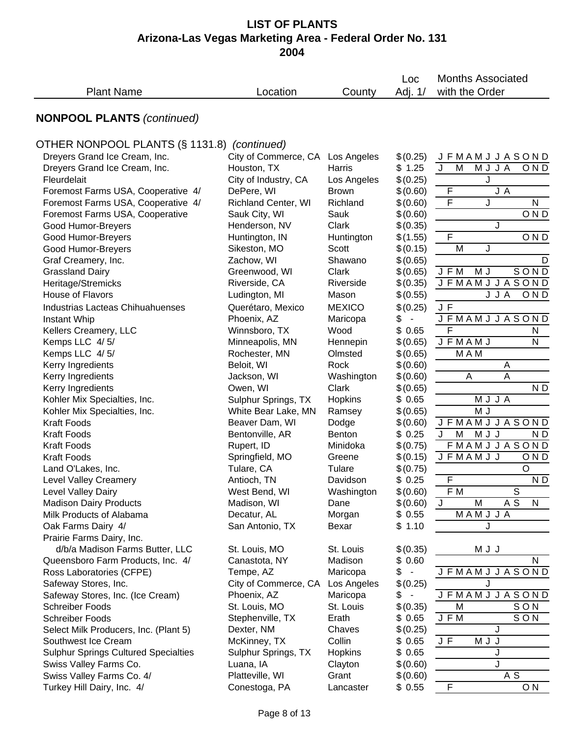|                                                                       |                                     |                   | Loc                  | <b>Months Associated</b>      |
|-----------------------------------------------------------------------|-------------------------------------|-------------------|----------------------|-------------------------------|
| <b>Plant Name</b>                                                     | Location                            | County            | Adj. 1/              | with the Order                |
| <b>NONPOOL PLANTS (continued)</b>                                     |                                     |                   |                      |                               |
| OTHER NONPOOL PLANTS (§ 1131.8)                                       | (continued)                         |                   |                      |                               |
| Dreyers Grand Ice Cream, Inc.                                         | City of Commerce, CA Los Angeles    |                   | \$(0.25)             | <b>JFMAMJJASOND</b>           |
| Dreyers Grand Ice Cream, Inc.                                         | Houston, TX                         | Harris            | \$1.25               | M<br>MJJA<br>J<br>OND         |
| Fleurdelait                                                           | City of Industry, CA                | Los Angeles       | \$(0.25)             | J                             |
| Foremost Farms USA, Cooperative 4/                                    | DePere, WI                          | <b>Brown</b>      | \$(0.60)             | F<br>J A                      |
| Foremost Farms USA, Cooperative 4/                                    | <b>Richland Center, WI</b>          | Richland          | \$(0.60)             | $\mathsf F$<br>${\sf N}$<br>J |
| Foremost Farms USA, Cooperative                                       | Sauk City, WI                       | Sauk              | \$(0.60)             | OND                           |
| Good Humor-Breyers                                                    | Henderson, NV                       | Clark             | \$(0.35)             | J                             |
| Good Humor-Breyers                                                    | Huntington, IN                      | Huntington        | \$(1.55)             | $\mathsf F$<br>OND            |
| Good Humor-Breyers                                                    | Sikeston, MO                        | Scott             | \$(0.15)             | M<br>J                        |
| Graf Creamery, Inc.                                                   | Zachow, WI                          | Shawano           | \$(0.65)             | D                             |
| <b>Grassland Dairy</b>                                                | Greenwood, WI                       | Clark             | \$(0.65)             | SOND<br>J F M<br>M J          |
| Heritage/Stremicks                                                    | Riverside, CA                       | Riverside         | \$(0.35)             | <b>JFMAMJJASOND</b>           |
| House of Flavors                                                      | Ludington, MI                       | Mason             | \$(0.55)             | J J A<br>OND                  |
| <b>Industrias Lacteas Chihuahuenses</b>                               | Querétaro, Mexico                   | <b>MEXICO</b>     | \$(0.25)             | J F                           |
| Instant Whip                                                          | Phoenix, AZ                         | Maricopa          | \$<br>$\blacksquare$ | <b>JFMAMJJASOND</b>           |
| Kellers Creamery, LLC                                                 | Winnsboro, TX                       | Wood              | \$0.65               | F<br>N                        |
| Kemps LLC 4/5/                                                        | Minneapolis, MN                     | Hennepin          | \$(0.65)             | <b>JFMAMJ</b><br>N            |
| Kemps LLC 4/5/                                                        | Rochester, MN                       | Olmsted           | \$(0.65)             | M A M                         |
| Kerry Ingredients                                                     | Beloit, WI                          | Rock              | \$(0.60)             | Α                             |
| Kerry Ingredients                                                     | Jackson, WI                         | Washington        | \$(0.60)             | Α<br>A                        |
| Kerry Ingredients                                                     | Owen, WI                            | Clark             | \$(0.65)             | N <sub>D</sub>                |
| Kohler Mix Specialties, Inc.                                          | Sulphur Springs, TX                 | Hopkins           | \$0.65               | MJJA                          |
| Kohler Mix Specialties, Inc.                                          | White Bear Lake, MN                 | Ramsey            | \$(0.65)             | M J                           |
| <b>Kraft Foods</b>                                                    | Beaver Dam, WI                      | Dodge             | \$(0.60)             | <b>JFMAMJJASOND</b>           |
| <b>Kraft Foods</b>                                                    | Bentonville, AR                     | <b>Benton</b>     | \$0.25               | J<br>M<br>M J J<br>N D        |
| <b>Kraft Foods</b>                                                    | Rupert, ID                          | Minidoka          | \$(0.75)             | <b>FMAMJJASOND</b>            |
| <b>Kraft Foods</b>                                                    | Springfield, MO                     | Greene            | \$(0.15)             | <b>JFMAMJJ</b><br>OND         |
| Land O'Lakes, Inc.                                                    | Tulare, CA                          | Tulare            | \$(0.75)             | $\overline{O}$                |
| <b>Level Valley Creamery</b>                                          | Antioch, TN                         | Davidson          | \$0.25               | $\mathsf F$<br>ND             |
| Level Valley Dairy                                                    | West Bend, WI                       | Washington        | \$(0.60)             | F M<br>$\overline{s}$         |
| <b>Madison Dairy Products</b>                                         | Madison, WI                         | Dane              | \$(0.60)             | A S<br>M<br>J<br>N            |
| Milk Products of Alabama                                              | Decatur, AL                         | Morgan            | \$0.55               | MAMJJA                        |
| Oak Farms Dairy 4/                                                    | San Antonio, TX                     | Bexar             | \$1.10               | J                             |
| Prairie Farms Dairy, Inc.                                             |                                     |                   |                      |                               |
| d/b/a Madison Farms Butter, LLC                                       | St. Louis, MO                       | St. Louis         | \$(0.35)             | M J J                         |
| Queensboro Farm Products, Inc. 4/                                     | Canastota, NY                       | Madison           | \$0.60               | N                             |
| Ross Laboratories (CFPE)                                              | Tempe, AZ                           | Maricopa          | \$<br>$\sim$         | <b>JFMAMJJASOND</b>           |
| Safeway Stores, Inc.                                                  | City of Commerce, CA                | Los Angeles       | \$(0.25)             | J                             |
| Safeway Stores, Inc. (Ice Cream)                                      | Phoenix, AZ                         | Maricopa          | \$<br>$\blacksquare$ | <b>JFMAMJJASOND</b>           |
| <b>Schreiber Foods</b>                                                | St. Louis, MO                       | St. Louis         | \$(0.35)             | M<br>SON                      |
| <b>Schreiber Foods</b>                                                | Stephenville, TX                    | Erath             | \$ 0.65              | SON<br>J F M                  |
| Select Milk Producers, Inc. (Plant 5)                                 | Dexter, NM                          | Chaves            | \$(0.25)             | J                             |
| Southwest Ice Cream                                                   | McKinney, TX<br>Sulphur Springs, TX | Collin<br>Hopkins | \$0.65<br>\$0.65     | J F<br>M J J<br>J             |
| <b>Sulphur Springs Cultured Specialties</b><br>Swiss Valley Farms Co. | Luana, IA                           | Clayton           | \$(0.60)             | J                             |
| Swiss Valley Farms Co. 4/                                             | Platteville, WI                     | Grant             | \$(0.60)             | A S                           |
| Turkey Hill Dairy, Inc. 4/                                            | Conestoga, PA                       | Lancaster         | \$0.55               | F<br>O <sub>N</sub>           |
|                                                                       |                                     |                   |                      |                               |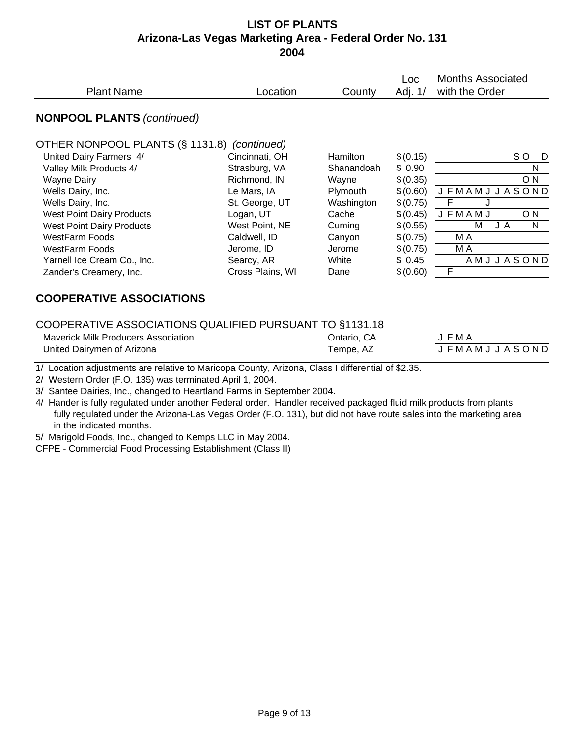|                                                         |                  |                 | <b>Loc</b> | Months Associated               |
|---------------------------------------------------------|------------------|-----------------|------------|---------------------------------|
| <b>Plant Name</b>                                       | Location         | County          | Adj. 1/    | with the Order                  |
| <b>NONPOOL PLANTS (continued)</b>                       |                  |                 |            |                                 |
| OTHER NONPOOL PLANTS (§ 1131.8)                         | (continued)      |                 |            |                                 |
| United Dairy Farmers 4/                                 | Cincinnati, OH   | <b>Hamilton</b> | \$(0.15)   | SO.<br>D                        |
| Valley Milk Products 4/                                 | Strasburg, VA    | Shanandoah      | \$0.90     | N                               |
| <b>Wayne Dairy</b>                                      | Richmond, IN     | Wayne           | \$(0.35)   | O <sub>N</sub>                  |
| Wells Dairy, Inc.                                       | Le Mars, IA      | Plymouth        | \$(0.60)   | JASOND<br><b>JFMAMJ</b>         |
| Wells Dairy, Inc.                                       | St. George, UT   | Washington      | \$(0.75)   | F                               |
| <b>West Point Dairy Products</b>                        | Logan, UT        | Cache           | \$(0.45)   | <b>JFMAMJ</b><br>O <sub>N</sub> |
| <b>West Point Dairy Products</b>                        | West Point, NE   | Cuming          | \$(0.55)   | М<br>N<br>JA                    |
| <b>WestFarm Foods</b>                                   | Caldwell, ID     | Canyon          | \$(0.75)   | M A                             |
| <b>WestFarm Foods</b>                                   | Jerome, ID       | Jerome          | \$(0.75)   | M A                             |
| Yarnell Ice Cream Co., Inc.                             | Searcy, AR       | White           | \$0.45     | AMJJASOND                       |
| Zander's Creamery, Inc.                                 | Cross Plains, WI | Dane            | \$(0.60)   | $\mathsf F$                     |
| <b>COOPERATIVE ASSOCIATIONS</b>                         |                  |                 |            |                                 |
| COOPERATIVE ASSOCIATIONS QUALIFIED PURSUANT TO §1131.18 |                  |                 |            |                                 |

| COOPERATIVE ASSOCIATIONS QUALIFIED PURSUANT TO §1131.18 |            |
|---------------------------------------------------------|------------|
| Movemble Mille Drodupera Appopiation                    | Optorio CA |

| Maverick Milk Producers Association | Ontario. CA | F MA                |
|-------------------------------------|-------------|---------------------|
| United Dairymen of Arizona          | Tempe, AZ   | <b>JFMAMJJASOND</b> |

|  | JFMA                    |  |  |  |  |  |
|--|-------------------------|--|--|--|--|--|
|  | J F M A M J J A S O N D |  |  |  |  |  |

1/ Location adjustments are relative to Maricopa County, Arizona, Class I differential of \$2.35.

2/ Western Order (F.O. 135) was terminated April 1, 2004.

3/ Santee Dairies, Inc., changed to Heartland Farms in September 2004.

4/ Hander is fully regulated under another Federal order. Handler received packaged fluid milk products from plants fully regulated under the Arizona-Las Vegas Order (F.O. 131), but did not have route sales into the marketing area in the indicated months.

5/ Marigold Foods, Inc., changed to Kemps LLC in May 2004.

CFPE - Commercial Food Processing Establishment (Class II)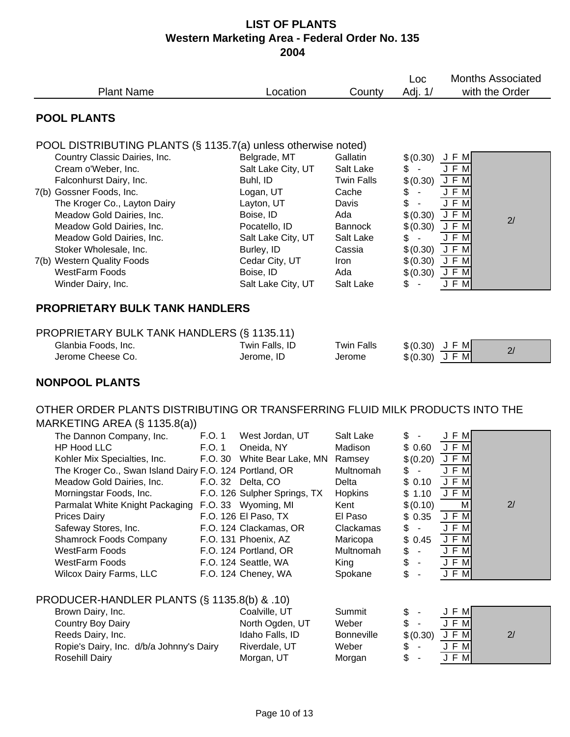| Adj. 1/<br>with the Order<br><b>Plant Name</b><br>Location<br>County<br><b>POOL PLANTS</b><br>POOL DISTRIBUTING PLANTS (§ 1135.7(a) unless otherwise noted)<br>Country Classic Dairies, Inc.<br>Belgrade, MT<br>Gallatin<br>\$(0.30)<br>JFM<br>Cream o'Weber, Inc.<br>Salt Lake City, UT<br>Salt Lake<br>\$<br>JF<br>M<br>$\sim$<br>Falconhurst Dairy, Inc.<br>Buhl, ID<br><b>Twin Falls</b><br>\$(0.30)<br>J F M<br>J F M<br>7(b) Gossner Foods, Inc.<br>Logan, UT<br>\$<br>Cache<br>$\blacksquare$                                                                                                                                                                                                                                                                                                                                                                                                                                                                                                                                                                                                                                                                                       |  |  |  |  |  |
|--------------------------------------------------------------------------------------------------------------------------------------------------------------------------------------------------------------------------------------------------------------------------------------------------------------------------------------------------------------------------------------------------------------------------------------------------------------------------------------------------------------------------------------------------------------------------------------------------------------------------------------------------------------------------------------------------------------------------------------------------------------------------------------------------------------------------------------------------------------------------------------------------------------------------------------------------------------------------------------------------------------------------------------------------------------------------------------------------------------------------------------------------------------------------------------------|--|--|--|--|--|
|                                                                                                                                                                                                                                                                                                                                                                                                                                                                                                                                                                                                                                                                                                                                                                                                                                                                                                                                                                                                                                                                                                                                                                                            |  |  |  |  |  |
|                                                                                                                                                                                                                                                                                                                                                                                                                                                                                                                                                                                                                                                                                                                                                                                                                                                                                                                                                                                                                                                                                                                                                                                            |  |  |  |  |  |
|                                                                                                                                                                                                                                                                                                                                                                                                                                                                                                                                                                                                                                                                                                                                                                                                                                                                                                                                                                                                                                                                                                                                                                                            |  |  |  |  |  |
| \$<br>The Kroger Co., Layton Dairy<br>Layton, UT<br>J F M<br>Davis<br>$\blacksquare$<br>J F M<br>Meadow Gold Dairies, Inc.<br>Boise, ID<br>Ada<br>\$(0.30)<br>2/<br>Meadow Gold Dairies, Inc.<br>J F M<br>Pocatello, ID<br><b>Bannock</b><br>\$(0.30)                                                                                                                                                                                                                                                                                                                                                                                                                                                                                                                                                                                                                                                                                                                                                                                                                                                                                                                                      |  |  |  |  |  |
| J F M<br>Meadow Gold Dairies, Inc.<br>Salt Lake City, UT<br>Salt Lake<br>\$<br>$\sim$<br>J F M<br>\$(0.30)<br>Stoker Wholesale, Inc.<br>Burley, ID<br>Cassia<br>\$(0.30)<br>J F M<br>7(b) Western Quality Foods<br>Cedar City, UT<br>Iron<br><b>WestFarm Foods</b><br>Boise, ID<br>\$(0.30)<br>Ada<br>J F M<br>J F M<br>Salt Lake City, UT<br>Winder Dairy, Inc.<br>Salt Lake<br>\$                                                                                                                                                                                                                                                                                                                                                                                                                                                                                                                                                                                                                                                                                                                                                                                                        |  |  |  |  |  |
| <b>PROPRIETARY BULK TANK HANDLERS</b>                                                                                                                                                                                                                                                                                                                                                                                                                                                                                                                                                                                                                                                                                                                                                                                                                                                                                                                                                                                                                                                                                                                                                      |  |  |  |  |  |
| PROPRIETARY BULK TANK HANDLERS (§ 1135.11)<br>Glanbia Foods, Inc.<br>Twin Falls, ID<br><b>Twin Falls</b><br>$$ (0.30)$ J F M<br>2/<br>Jerome Cheese Co.<br>$$(0.30)$ JFM<br>Jerome, ID<br>Jerome                                                                                                                                                                                                                                                                                                                                                                                                                                                                                                                                                                                                                                                                                                                                                                                                                                                                                                                                                                                           |  |  |  |  |  |
| <b>NONPOOL PLANTS</b>                                                                                                                                                                                                                                                                                                                                                                                                                                                                                                                                                                                                                                                                                                                                                                                                                                                                                                                                                                                                                                                                                                                                                                      |  |  |  |  |  |
| OTHER ORDER PLANTS DISTRIBUTING OR TRANSFERRING FLUID MILK PRODUCTS INTO THE<br>MARKETING AREA (§ 1135.8(a))                                                                                                                                                                                                                                                                                                                                                                                                                                                                                                                                                                                                                                                                                                                                                                                                                                                                                                                                                                                                                                                                               |  |  |  |  |  |
| The Dannon Company, Inc.<br>Salt Lake<br>F.O. 1<br>West Jordan, UT<br>\$<br>J F M<br><b>HP Hood LLC</b><br>\$0.60<br>F.O. 1<br>Oneida, NY<br>Madison<br>J F<br>M<br>Kohler Mix Specialties, Inc.<br>F.O. 30<br>White Bear Lake, MN<br>\$(0.20)<br>J F M<br>Ramsey<br>The Kroger Co., Swan Island Dairy F.O. 124 Portland, OR<br>Multnomah<br>\$<br>J F M<br>$\overline{\phantom{a}}$<br>\$0.10<br>J F M<br>Meadow Gold Dairies, Inc.<br>F.O. 32 Delta, CO<br>Delta<br>Morningstar Foods, Inc.<br>F.O. 126 Sulpher Springs, TX<br>Hopkins<br>\$1.10<br>J F M<br>M<br>2/<br>Parmalat White Knight Packaging<br>F.O. 33 Wyoming, MI<br>Kent<br>\$(0.10)<br>J F M<br>F.O. 126 El Paso, TX<br>\$0.35<br><b>Prices Dairy</b><br>El Paso<br>Safeway Stores, Inc.<br>F.O. 124 Clackamas, OR<br>J F M<br>Clackamas<br>\$<br>$\blacksquare$<br>$J$ F M<br>F.O. 131 Phoenix, AZ<br>\$<br><b>Shamrock Foods Company</b><br>0.45<br>Maricopa<br>J F M<br>WestFarm Foods<br>\$<br>F.O. 124 Portland, OR<br>Multnomah<br>$\overline{\phantom{a}}$<br>\$<br>$J$ F $M$<br><b>WestFarm Foods</b><br>F.O. 124 Seattle, WA<br>King<br>J F M<br>\$<br>Wilcox Dairy Farms, LLC<br>F.O. 124 Cheney, WA<br>Spokane |  |  |  |  |  |
| PRODUCER-HANDLER PLANTS (§ 1135.8(b) & .10)                                                                                                                                                                                                                                                                                                                                                                                                                                                                                                                                                                                                                                                                                                                                                                                                                                                                                                                                                                                                                                                                                                                                                |  |  |  |  |  |
| Brown Dairy, Inc.<br>Coalville, UT<br>Summit<br>\$<br>J F M<br>\$<br>J F M<br>Country Boy Dairy<br>North Ogden, UT<br>Weber<br><b>JFM</b><br>\$(0.30)<br>2/<br>Reeds Dairy, Inc.<br>Idaho Falls, ID<br><b>Bonneville</b><br>Ropie's Dairy, Inc. d/b/a Johnny's Dairy<br>J F M<br>Riverdale, UT<br>Weber<br>\$<br>J F M<br>\$<br><b>Rosehill Dairy</b><br>Morgan, UT<br>Morgan                                                                                                                                                                                                                                                                                                                                                                                                                                                                                                                                                                                                                                                                                                                                                                                                              |  |  |  |  |  |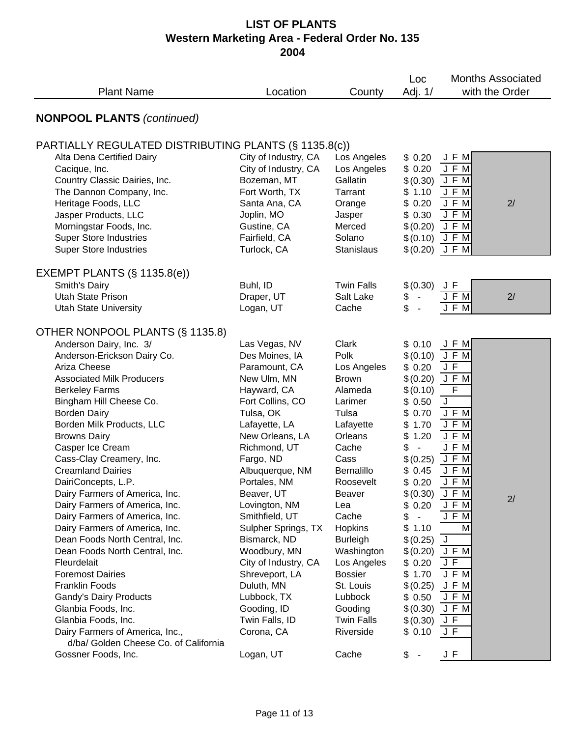| <b>Plant Name</b>                                                                                                                                                                                                                                                                                                                                                                                                                                                                                                                                                                                                                                                                                                                                                                                      | Location                                                                                                                                                                                                                                                                                                                                                                                                                                                       | County                                                                                                                                                                                                                                                                                                                               | Loc<br>Adj. 1/                                                                                                                                                                                                                                                                                                                                           | <b>Months Associated</b><br>with the Order                                                                                                                                                                                                                       |  |
|--------------------------------------------------------------------------------------------------------------------------------------------------------------------------------------------------------------------------------------------------------------------------------------------------------------------------------------------------------------------------------------------------------------------------------------------------------------------------------------------------------------------------------------------------------------------------------------------------------------------------------------------------------------------------------------------------------------------------------------------------------------------------------------------------------|----------------------------------------------------------------------------------------------------------------------------------------------------------------------------------------------------------------------------------------------------------------------------------------------------------------------------------------------------------------------------------------------------------------------------------------------------------------|--------------------------------------------------------------------------------------------------------------------------------------------------------------------------------------------------------------------------------------------------------------------------------------------------------------------------------------|----------------------------------------------------------------------------------------------------------------------------------------------------------------------------------------------------------------------------------------------------------------------------------------------------------------------------------------------------------|------------------------------------------------------------------------------------------------------------------------------------------------------------------------------------------------------------------------------------------------------------------|--|
| <b>NONPOOL PLANTS (continued)</b>                                                                                                                                                                                                                                                                                                                                                                                                                                                                                                                                                                                                                                                                                                                                                                      |                                                                                                                                                                                                                                                                                                                                                                                                                                                                |                                                                                                                                                                                                                                                                                                                                      |                                                                                                                                                                                                                                                                                                                                                          |                                                                                                                                                                                                                                                                  |  |
| PARTIALLY REGULATED DISTRIBUTING PLANTS (§ 1135.8(c))                                                                                                                                                                                                                                                                                                                                                                                                                                                                                                                                                                                                                                                                                                                                                  |                                                                                                                                                                                                                                                                                                                                                                                                                                                                |                                                                                                                                                                                                                                                                                                                                      |                                                                                                                                                                                                                                                                                                                                                          |                                                                                                                                                                                                                                                                  |  |
| Alta Dena Certified Dairy<br>Cacique, Inc.<br>Country Classic Dairies, Inc.<br>The Dannon Company, Inc.<br>Heritage Foods, LLC<br>Jasper Products, LLC<br>Morningstar Foods, Inc.<br><b>Super Store Industries</b><br><b>Super Store Industries</b>                                                                                                                                                                                                                                                                                                                                                                                                                                                                                                                                                    | City of Industry, CA<br>City of Industry, CA<br>Bozeman, MT<br>Fort Worth, TX<br>Santa Ana, CA<br>Joplin, MO<br>Gustine, CA<br>Fairfield, CA<br>Turlock, CA                                                                                                                                                                                                                                                                                                    | Los Angeles<br>Los Angeles<br>Gallatin<br>Tarrant<br>Orange<br>Jasper<br>Merced<br>Solano<br><b>Stanislaus</b>                                                                                                                                                                                                                       | \$0.20<br>\$0.20<br>\$(0.30)<br>\$1.10<br>\$0.20<br>\$0.30<br>\$(0.20)<br>\$(0.10)<br>\$(0.20)                                                                                                                                                                                                                                                           | J F M<br>J F M<br>J F M<br>J F M<br>J F M<br>2/<br>J F M<br>J F M<br>J F M<br>JFM                                                                                                                                                                                |  |
| EXEMPT PLANTS $(\S 1135.8(e))$                                                                                                                                                                                                                                                                                                                                                                                                                                                                                                                                                                                                                                                                                                                                                                         |                                                                                                                                                                                                                                                                                                                                                                                                                                                                |                                                                                                                                                                                                                                                                                                                                      |                                                                                                                                                                                                                                                                                                                                                          |                                                                                                                                                                                                                                                                  |  |
| Smith's Dairy<br><b>Utah State Prison</b><br><b>Utah State University</b>                                                                                                                                                                                                                                                                                                                                                                                                                                                                                                                                                                                                                                                                                                                              | Buhl, ID<br>Draper, UT<br>Logan, UT                                                                                                                                                                                                                                                                                                                                                                                                                            | <b>Twin Falls</b><br>Salt Lake<br>Cache                                                                                                                                                                                                                                                                                              | \$(0.30)<br>\$<br>\$                                                                                                                                                                                                                                                                                                                                     | JF<br>2/<br>F M<br>J F M                                                                                                                                                                                                                                         |  |
| OTHER NONPOOL PLANTS (§ 1135.8)                                                                                                                                                                                                                                                                                                                                                                                                                                                                                                                                                                                                                                                                                                                                                                        |                                                                                                                                                                                                                                                                                                                                                                                                                                                                |                                                                                                                                                                                                                                                                                                                                      |                                                                                                                                                                                                                                                                                                                                                          |                                                                                                                                                                                                                                                                  |  |
| Anderson Dairy, Inc. 3/<br>Anderson-Erickson Dairy Co.<br>Ariza Cheese<br><b>Associated Milk Producers</b><br><b>Berkeley Farms</b><br>Bingham Hill Cheese Co.<br><b>Borden Dairy</b><br>Borden Milk Products, LLC<br><b>Browns Dairy</b><br>Casper Ice Cream<br>Cass-Clay Creamery, Inc.<br><b>Creamland Dairies</b><br>DairiConcepts, L.P.<br>Dairy Farmers of America, Inc.<br>Dairy Farmers of America, Inc.<br>Dairy Farmers of America, Inc.<br>Dairy Farmers of America, Inc.<br>Dean Foods North Central, Inc.<br>Dean Foods North Central, Inc.<br>Fleurdelait<br><b>Foremost Dairies</b><br><b>Franklin Foods</b><br>Gandy's Dairy Products<br>Glanbia Foods, Inc.<br>Glanbia Foods, Inc.<br>Dairy Farmers of America, Inc.,<br>d/ba/ Golden Cheese Co. of California<br>Gossner Foods, Inc. | Las Vegas, NV<br>Des Moines, IA<br>Paramount, CA<br>New Ulm, MN<br>Hayward, CA<br>Fort Collins, CO<br>Tulsa, OK<br>Lafayette, LA<br>New Orleans, LA<br>Richmond, UT<br>Fargo, ND<br>Albuquerque, NM<br>Portales, NM<br>Beaver, UT<br>Lovington, NM<br>Smithfield, UT<br>Sulpher Springs, TX<br>Bismarck, ND<br>Woodbury, MN<br>City of Industry, CA<br>Shreveport, LA<br>Duluth, MN<br>Lubbock, TX<br>Gooding, ID<br>Twin Falls, ID<br>Corona, CA<br>Logan, UT | Clark<br>Polk<br>Los Angeles<br><b>Brown</b><br>Alameda<br>Larimer<br>Tulsa<br>Lafayette<br>Orleans<br>Cache<br>Cass<br>Bernalillo<br>Roosevelt<br>Beaver<br>Lea<br>Cache<br>Hopkins<br><b>Burleigh</b><br>Washington<br>Los Angeles<br><b>Bossier</b><br>St. Louis<br>Lubbock<br>Gooding<br><b>Twin Falls</b><br>Riverside<br>Cache | \$0.10<br>\$(0.10)<br>\$0.20<br>\$(0.20)<br>\$(0.10)<br>\$0.50<br>\$<br>0.70<br>\$<br>1.70<br>1.20<br>\$<br>\$<br>$\overline{\phantom{a}}$<br>\$(0.25)<br>\$0.45<br>\$0.20<br>\$(0.30)<br>\$<br>0.20<br>\$<br>$\blacksquare$<br>\$<br>1.10<br>\$(0.25)<br>\$(0.20)<br>\$0.20<br>1.70<br>\$<br>\$(0.25)<br>\$0.50<br>\$(0.30)<br>\$(0.30)<br>\$0.10<br>\$ | J F M<br>J F M<br>J F<br>J F M<br>$\overline{F}$<br>J<br>J F M<br>J F M<br>J F M<br>$J$ $F$ $M$<br>J F M<br>J F M<br>J F M<br>J F M<br>2/<br>J F M<br>J F M<br>M<br>$\overline{\mathsf{J}}$<br>J F M<br>JF<br>J F M<br>J F M<br>J F M<br>JFM<br>JF<br>J F<br>J F |  |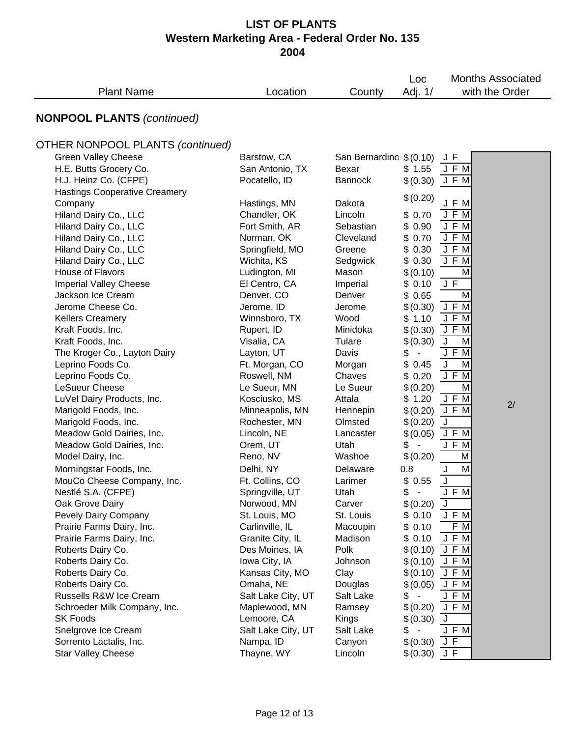|                                         |                    |                         | Loc                            | <b>Months Associated</b> |  |
|-----------------------------------------|--------------------|-------------------------|--------------------------------|--------------------------|--|
| <b>Plant Name</b>                       | Location           | County                  | Adj. 1/                        | with the Order           |  |
| <b>NONPOOL PLANTS (continued)</b>       |                    |                         |                                |                          |  |
| <b>OTHER NONPOOL PLANTS (continued)</b> |                    |                         |                                |                          |  |
| <b>Green Valley Cheese</b>              | Barstow, CA        | San Bernardino \$(0.10) |                                | JF                       |  |
| H.E. Butts Grocery Co.                  | San Antonio, TX    | Bexar                   | \$1.55                         | J F M                    |  |
| H.J. Heinz Co. (CFPE)                   | Pocatello, ID      | <b>Bannock</b>          | \$(0.30)                       | J F M                    |  |
| <b>Hastings Cooperative Creamery</b>    |                    |                         |                                |                          |  |
| Company                                 | Hastings, MN       | Dakota                  | \$(0.20)                       | J F M                    |  |
| Hiland Dairy Co., LLC                   | Chandler, OK       | Lincoln                 | \$0.70                         | J F M                    |  |
| Hiland Dairy Co., LLC                   | Fort Smith, AR     | Sebastian               | \$0.90                         | J F M                    |  |
| Hiland Dairy Co., LLC                   | Norman, OK         | Cleveland               | \$0.70                         | J F M                    |  |
| Hiland Dairy Co., LLC                   | Springfield, MO    | Greene                  | \$0.30                         | J F M                    |  |
| Hiland Dairy Co., LLC                   | Wichita, KS        | Sedgwick                | \$0.30                         | JFM                      |  |
| House of Flavors                        | Ludington, MI      | Mason                   | \$(0.10)                       | м                        |  |
| <b>Imperial Valley Cheese</b>           | El Centro, CA      | Imperial                | \$0.10                         | J F                      |  |
| Jackson Ice Cream                       | Denver, CO         | Denver                  | \$0.65                         | M                        |  |
| Jerome Cheese Co.                       | Jerome, ID         | Jerome                  | \$(0.30)                       | JFM                      |  |
| <b>Kellers Creamery</b>                 | Winnsboro, TX      | Wood                    | \$1.10                         | J F M                    |  |
| Kraft Foods, Inc.                       | Rupert, ID         | Minidoka                | \$(0.30)                       | J F M                    |  |
| Kraft Foods, Inc.                       | Visalia, CA        | Tulare                  | \$(0.30)                       | $\sf J$<br>M             |  |
| The Kroger Co., Layton Dairy            | Layton, UT         | Davis                   | \$<br>$\blacksquare$           | J F M                    |  |
| Leprino Foods Co.                       | Ft. Morgan, CO     | Morgan                  | \$0.45                         | $\sf J$<br>M             |  |
| Leprino Foods Co.                       | Roswell, NM        | Chaves                  | \$0.20                         | $J$ F M                  |  |
| LeSueur Cheese                          | Le Sueur, MN       | Le Sueur                | \$(0.20)                       | M                        |  |
| LuVel Dairy Products, Inc.              | Kosciusko, MS      | Attala                  | \$1.20                         | J F M                    |  |
| Marigold Foods, Inc.                    | Minneapolis, MN    | Hennepin                | \$(0.20)                       | 2/<br>JFM                |  |
| Marigold Foods, Inc.                    | Rochester, MN      | Olmsted                 | \$(0.20)                       | J                        |  |
| Meadow Gold Dairies, Inc.               | Lincoln, NE        | Lancaster               | \$(0.05)                       | J F M                    |  |
| Meadow Gold Dairies, Inc.               | Orem, UT           | Utah                    | \$                             | J F M                    |  |
| Model Dairy, Inc.                       | Reno, NV           | Washoe                  | \$(0.20)                       | M                        |  |
| Morningstar Foods, Inc.                 | Delhi, NY          | Delaware                | 0.8                            | J<br>M                   |  |
| MouCo Cheese Company, Inc.              | Ft. Collins, CO    | Larimer                 | \$0.55                         | J                        |  |
| Nestlé S.A. (CFPE)                      | Springville, UT    | Utah                    | \$                             | $J$ $\overline{F}$ M     |  |
| Oak Grove Dairy                         | Norwood, MN        | Carver                  | \$(0.20)                       | $\overline{\mathsf{J}}$  |  |
| Pevely Dairy Company                    | St. Louis, MO      | St. Louis               | \$0.10                         | J F M                    |  |
| Prairie Farms Dairy, Inc.               | Carlinville, IL    | Macoupin                | \$0.10                         | F M                      |  |
| Prairie Farms Dairy, Inc.               | Granite City, IL   | Madison                 | \$0.10                         | J F M                    |  |
| Roberts Dairy Co.                       | Des Moines, IA     | Polk                    | \$(0.10)                       | J F M                    |  |
| Roberts Dairy Co.                       | Iowa City, IA      | Johnson                 | \$(0.10)                       | J F M                    |  |
| Roberts Dairy Co.                       | Kansas City, MO    | Clay                    | \$(0.10)                       | J F M                    |  |
| Roberts Dairy Co.                       | Omaha, NE          | Douglas                 |                                | $$(0.05)$ JFM            |  |
| Russells R&W Ice Cream                  | Salt Lake City, UT | Salt Lake               | \$                             | J F M                    |  |
| Schroeder Milk Company, Inc.            | Maplewood, MN      | Ramsey                  | \$(0.20)                       | J F M                    |  |
| <b>SK Foods</b>                         | Lemoore, CA        | Kings                   | \$(0.30)                       | J                        |  |
| Snelgrove Ice Cream                     | Salt Lake City, UT | Salt Lake               | \$<br>$\overline{\phantom{a}}$ | J F M                    |  |
| Sorrento Lactalis, Inc.                 | Nampa, ID          | Canyon                  | \$(0.30)                       | J F                      |  |
| <b>Star Valley Cheese</b>               | Thayne, WY         | Lincoln                 | \$(0.30)                       | J F                      |  |